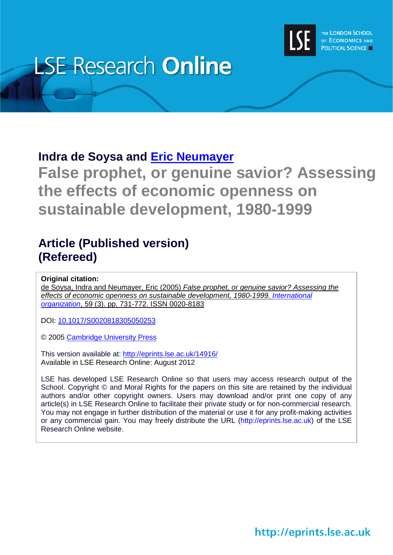

# **LSE Research Online**

# **Indra de Soysa and [Eric Neumayer](http://www2.lse.ac.uk/researchAndExpertise/Experts/profile.aspx?KeyValue=e.neumayer@lse.ac.uk)**

**False prophet, or genuine savior? Assessing the effects of economic openness on sustainable development, 1980-1999**

# **Article (Published version) (Refereed)**

**Original citation:**

de Soysa, Indra and Neumayer, Eric (2005) *False prophet, or genuine savior? Assessing the effects of economic openness on sustainable development, 1980-1999. [International](http://journals.cambridge.org/action/displayJournal?jid=INO) [organization](http://journals.cambridge.org/action/displayJournal?jid=INO)*, 59 (3). pp. 731-772. ISSN 0020-8183

DOI: [10.1017/S0020818305050253](http://dx.doi.org/10.1017/S0020818305050253)

© 2005 [Cambridge University Press](http://www.cambridge.org/home/home/item5655304/?site_locale=en_GB)

This version available at:<http://eprints.lse.ac.uk/14916/> Available in LSE Research Online: August 2012

LSE has developed LSE Research Online so that users may access research output of the School. Copyright © and Moral Rights for the papers on this site are retained by the individual authors and/or other copyright owners. Users may download and/or print one copy of any article(s) in LSE Research Online to facilitate their private study or for non-commercial research. You may not engage in further distribution of the material or use it for any profit-making activities or any commercial gain. You may freely distribute the URL (http://eprints.lse.ac.uk) of the LSE Research Online website.

http://eprints.lse.ac.uk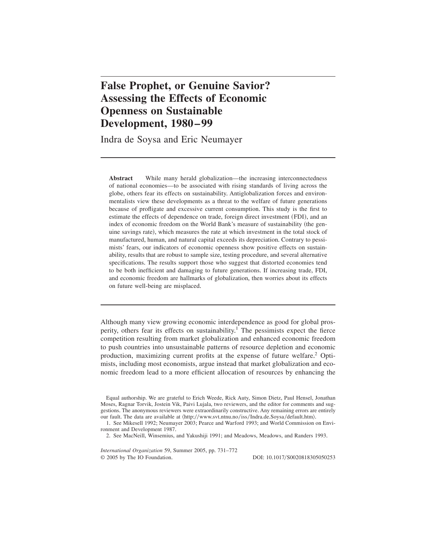# **False Prophet, or Genuine Savior? Assessing the Effects of Economic Openness on Sustainable Development, 1980–99**

Indra de Soysa and Eric Neumayer

**Abstract** While many herald globalization—the increasing interconnectedness of national economies—to be associated with rising standards of living across the globe, others fear its effects on sustainability. Antiglobalization forces and environmentalists view these developments as a threat to the welfare of future generations because of profligate and excessive current consumption. This study is the first to estimate the effects of dependence on trade, foreign direct investment (FDI), and an index of economic freedom on the World Bank's measure of sustainability (the genuine savings rate), which measures the rate at which investment in the total stock of manufactured, human, and natural capital exceeds its depreciation. Contrary to pessimists' fears, our indicators of economic openness show positive effects on sustainability, results that are robust to sample size, testing procedure, and several alternative specifications. The results support those who suggest that distorted economies tend to be both inefficient and damaging to future generations. If increasing trade, FDI, and economic freedom are hallmarks of globalization, then worries about its effects on future well-being are misplaced.

Although many view growing economic interdependence as good for global prosperity, others fear its effects on sustainability.<sup>1</sup> The pessimists expect the fierce competition resulting from market globalization and enhanced economic freedom to push countries into unsustainable patterns of resource depletion and economic production, maximizing current profits at the expense of future welfare.<sup>2</sup> Optimists, including most economists, argue instead that market globalization and economic freedom lead to a more efficient allocation of resources by enhancing the

Equal authorship. We are grateful to Erich Weede, Rick Auty, Simon Dietz, Paul Hensel, Jonathan Moses, Ragnar Torvik, Jostein Vik, Paivi Lujala, two reviewers, and the editor for comments and suggestions. The anonymous reviewers were extraordinarily constructive. Any remaining errors are entirely our fault. The data are available at  $\langle \text{http://www.svt.ntnu.no/iss/Indra.de.Soysa/default.htm}\rangle$ .

1. See Mikesell 1992; Neumayer 2003; Pearce and Warford 1993; and World Commission on Environment and Development 1987.

2. See MacNeill, Winsemius, and Yakushiji 1991; and Meadows, Meadows, and Randers 1993.

*International Organization* 59, Summer 2005, pp. 731–772 © 2005 by The IO Foundation.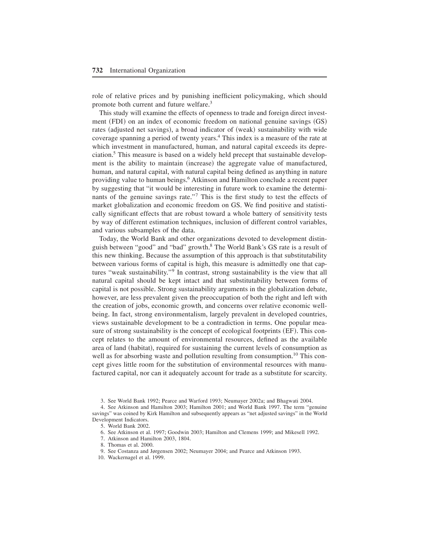role of relative prices and by punishing inefficient policymaking, which should promote both current and future welfare.<sup>3</sup>

This study will examine the effects of openness to trade and foreign direct investment  $(FDI)$  on an index of economic freedom on national genuine savings  $(GS)$ rates (adjusted net savings), a broad indicator of (weak) sustainability with wide coverage spanning a period of twenty years.<sup>4</sup> This index is a measure of the rate at which investment in manufactured, human, and natural capital exceeds its depreciation.<sup>5</sup> This measure is based on a widely held precept that sustainable development is the ability to maintain (increase) the aggregate value of manufactured, human, and natural capital, with natural capital being defined as anything in nature providing value to human beings.<sup>6</sup> Atkinson and Hamilton conclude a recent paper by suggesting that "it would be interesting in future work to examine the determinants of the genuine savings rate."<sup>7</sup> This is the first study to test the effects of market globalization and economic freedom on GS. We find positive and statistically significant effects that are robust toward a whole battery of sensitivity tests by way of different estimation techniques, inclusion of different control variables, and various subsamples of the data.

Today, the World Bank and other organizations devoted to development distinguish between "good" and "bad" growth.<sup>8</sup> The World Bank's GS rate is a result of this new thinking. Because the assumption of this approach is that substitutability between various forms of capital is high, this measure is admittedly one that captures "weak sustainability."<sup>9</sup> In contrast, strong sustainability is the view that all natural capital should be kept intact and that substitutability between forms of capital is not possible. Strong sustainability arguments in the globalization debate, however, are less prevalent given the preoccupation of both the right and left with the creation of jobs, economic growth, and concerns over relative economic wellbeing. In fact, strong environmentalism, largely prevalent in developed countries, views sustainable development to be a contradiction in terms+ One popular measure of strong sustainability is the concept of ecological footprints  $(EF)$ . This concept relates to the amount of environmental resources, defined as the available area of land (habitat), required for sustaining the current levels of consumption as well as for absorbing waste and pollution resulting from consumption.<sup>10</sup> This concept gives little room for the substitution of environmental resources with manufactured capital, nor can it adequately account for trade as a substitute for scarcity.

3. See World Bank 1992; Pearce and Warford 1993; Neumayer 2002a; and Bhagwati 2004.

4. See Atkinson and Hamilton 2003; Hamilton 2001; and World Bank 1997. The term "genuine savings" was coined by Kirk Hamilton and subsequently appears as "net adjusted savings" in the World Development Indicators.

5. World Bank 2002.

6. See Atkinson et al. 1997; Goodwin 2003; Hamilton and Clemens 1999; and Mikesell 1992.

7. Atkinson and Hamilton 2003, 1804.

8. Thomas et al. 2000.

9. See Costanza and Jørgensen 2002; Neumayer 2004; and Pearce and Atkinson 1993.

10. Wackernagel et al. 1999.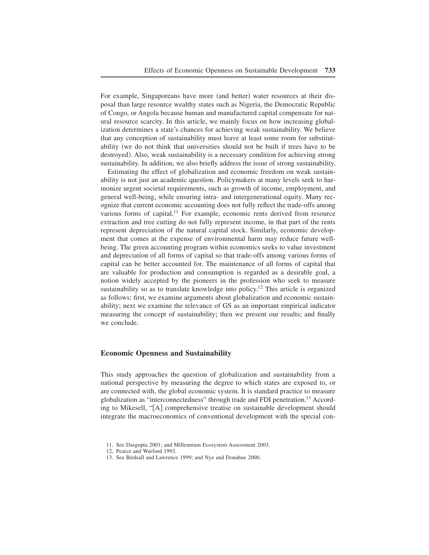For example, Singaporeans have more (and better) water resources at their disposal than large resource wealthy states such as Nigeria, the Democratic Republic of Congo, or Angola because human and manufactured capital compensate for natural resource scarcity. In this article, we mainly focus on how increasing globalization determines a state's chances for achieving weak sustainability. We believe that any conception of sustainability must leave at least some room for substitutability (we do not think that universities should not be built if trees have to be destroyed). Also, weak sustainability is a necessary condition for achieving strong sustainability. In addition, we also briefly address the issue of strong sustainability.

Estimating the effect of globalization and economic freedom on weak sustainability is not just an academic question. Policymakers at many levels seek to harmonize urgent societal requirements, such as growth of income, employment, and general well-being, while ensuring intra- and intergenerational equity+ Many recognize that current economic accounting does not fully reflect the trade-offs among various forms of capital.<sup>11</sup> For example, economic rents derived from resource extraction and tree cutting do not fully represent income, in that part of the rents represent depreciation of the natural capital stock. Similarly, economic development that comes at the expense of environmental harm may reduce future wellbeing. The green accounting program within economics seeks to value investment and depreciation of all forms of capital so that trade-offs among various forms of capital can be better accounted for. The maintenance of all forms of capital that are valuable for production and consumption is regarded as a desirable goal, a notion widely accepted by the pioneers in the profession who seek to measure sustainability so as to translate knowledge into policy.<sup>12</sup> This article is organized as follows: first, we examine arguments about globalization and economic sustainability; next we examine the relevance of GS as an important empirical indicator measuring the concept of sustainability; then we present our results; and finally we conclude.

#### **Economic Openness and Sustainability**

This study approaches the question of globalization and sustainability from a national perspective by measuring the degree to which states are exposed to, or are connected with, the global economic system. It is standard practice to measure globalization as "interconnectedness" through trade and FDI penetration.<sup>13</sup> According to Mikesell, "[A] comprehensive treatise on sustainable development should integrate the macroeconomics of conventional development with the special con-

<sup>11.</sup> See Dasgupta 2001; and Millennium Ecosystem Assessment 2003.

<sup>12.</sup> Pearce and Warford 1993.

<sup>13.</sup> See Birdsall and Lawrence 1999; and Nye and Donahue 2000.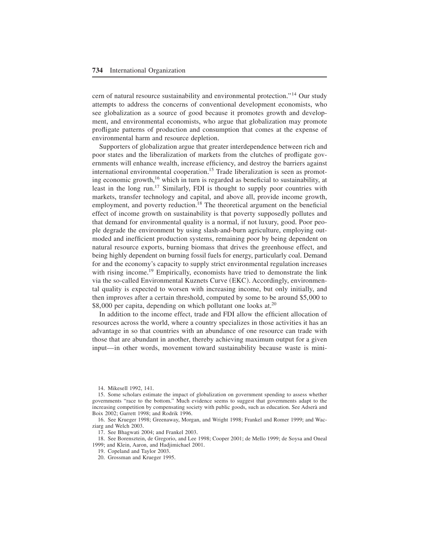cern of natural resource sustainability and environmental protection."<sup>14</sup> Our study attempts to address the concerns of conventional development economists, who see globalization as a source of good because it promotes growth and development, and environmental economists, who argue that globalization may promote profligate patterns of production and consumption that comes at the expense of environmental harm and resource depletion.

Supporters of globalization argue that greater interdependence between rich and poor states and the liberalization of markets from the clutches of profligate governments will enhance wealth, increase efficiency, and destroy the barriers against international environmental cooperation.<sup>15</sup> Trade liberalization is seen as promoting economic growth, <sup>16</sup> which in turn is regarded as beneficial to sustainability, at least in the long run.<sup>17</sup> Similarly, FDI is thought to supply poor countries with markets, transfer technology and capital, and above all, provide income growth, employment, and poverty reduction.<sup>18</sup> The theoretical argument on the beneficial effect of income growth on sustainability is that poverty supposedly pollutes and that demand for environmental quality is a normal, if not luxury, good. Poor people degrade the environment by using slash-and-burn agriculture, employing outmoded and inefficient production systems, remaining poor by being dependent on natural resource exports, burning biomass that drives the greenhouse effect, and being highly dependent on burning fossil fuels for energy, particularly coal. Demand for and the economy's capacity to supply strict environmental regulation increases with rising income.<sup>19</sup> Empirically, economists have tried to demonstrate the link via the so-called Environmental Kuznets Curve (EKC). Accordingly, environmental quality is expected to worsen with increasing income, but only initially, and then improves after a certain threshold, computed by some to be around \$5,000 to  $$8,000$  per capita, depending on which pollutant one looks at.<sup>20</sup>

In addition to the income effect, trade and FDI allow the efficient allocation of resources across the world, where a country specializes in those activities it has an advantage in so that countries with an abundance of one resource can trade with those that are abundant in another, thereby achieving maximum output for a given input—in other words, movement toward sustainability because waste is mini-

16. See Krueger 1998; Greenaway, Morgan, and Wright 1998; Frankel and Romer 1999; and Wacziarg and Welch 2003.

17. See Bhagwati 2004; and Frankel 2003.

18. See Borensztein, de Gregorio, and Lee 1998; Cooper 2001; de Mello 1999; de Soysa and Oneal 1999; and Klein, Aaron, and Hadjimichael 2001.

19. Copeland and Taylor 2003.

20. Grossman and Krueger 1995.

<sup>14.</sup> Mikesell 1992, 141.

<sup>15.</sup> Some scholars estimate the impact of globalization on government spending to assess whether governments "race to the bottom." Much evidence seems to suggest that governments adapt to the increasing competition by compensating society with public goods, such as education. See Adserà and Boix 2002; Garrett 1998; and Rodrik 1996+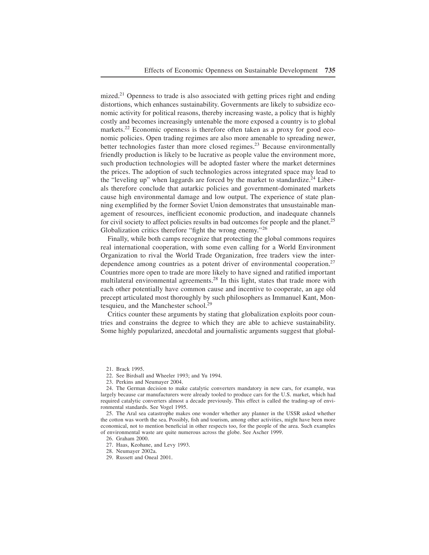mized.<sup>21</sup> Openness to trade is also associated with getting prices right and ending distortions, which enhances sustainability. Governments are likely to subsidize economic activity for political reasons, thereby increasing waste, a policy that is highly costly and becomes increasingly untenable the more exposed a country is to global markets.<sup>22</sup> Economic openness is therefore often taken as a proxy for good economic policies. Open trading regimes are also more amenable to spreading newer, better technologies faster than more closed regimes.<sup>23</sup> Because environmentally friendly production is likely to be lucrative as people value the environment more, such production technologies will be adopted faster where the market determines the prices. The adoption of such technologies across integrated space may lead to the "leveling up" when laggards are forced by the market to standardize.<sup>24</sup> Liberals therefore conclude that autarkic policies and government-dominated markets cause high environmental damage and low output. The experience of state planning exemplified by the former Soviet Union demonstrates that unsustainable management of resources, inefficient economic production, and inadequate channels for civil society to affect policies results in bad outcomes for people and the planet.<sup>25</sup> Globalization critics therefore "fight the wrong enemy."<sup>26</sup>

Finally, while both camps recognize that protecting the global commons requires real international cooperation, with some even calling for a World Environment Organization to rival the World Trade Organization, free traders view the interdependence among countries as a potent driver of environmental cooperation.<sup>27</sup> Countries more open to trade are more likely to have signed and ratified important multilateral environmental agreements.<sup>28</sup> In this light, states that trade more with each other potentially have common cause and incentive to cooperate, an age old precept articulated most thoroughly by such philosophers as Immanuel Kant, Montesquieu, and the Manchester school.<sup>29</sup>

Critics counter these arguments by stating that globalization exploits poor countries and constrains the degree to which they are able to achieve sustainability+ Some highly popularized, anecdotal and journalistic arguments suggest that global-

25. The Aral sea catastrophe makes one wonder whether any planner in the USSR asked whether the cotton was worth the sea. Possibly, fish and tourism, among other activities, might have been more economical, not to mention beneficial in other respects too, for the people of the area. Such examples of environmental waste are quite numerous across the globe. See Ascher 1999.

26. Graham 2000.

29. Russett and Oneal 2001.

<sup>21.</sup> Brack 1995.

<sup>22.</sup> See Birdsall and Wheeler 1993; and Yu 1994.

<sup>23.</sup> Perkins and Neumayer 2004.

<sup>24.</sup> The German decision to make catalytic converters mandatory in new cars, for example, was largely because car manufacturers were already tooled to produce cars for the U.S. market, which had required catalytic converters almost a decade previously. This effect is called the trading-up of environmental standards. See Vogel 1995.

<sup>27.</sup> Haas, Keohane, and Levy 1993.

<sup>28.</sup> Neumayer 2002a.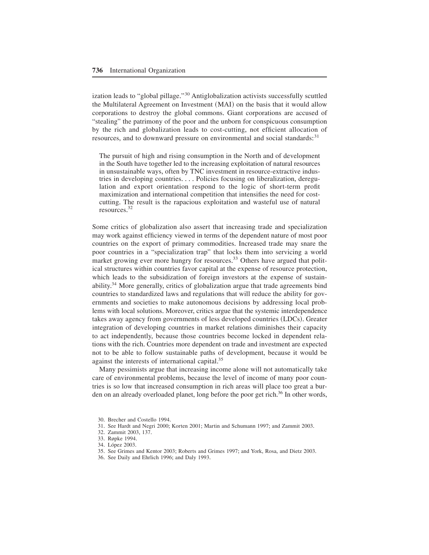ization leads to "global pillage." $30$  Antiglobalization activists successfully scuttled the Multilateral Agreement on Investment (MAI) on the basis that it would allow corporations to destroy the global commons. Giant corporations are accused of "stealing" the patrimony of the poor and the unborn for conspicuous consumption by the rich and globalization leads to cost-cutting, not efficient allocation of resources, and to downward pressure on environmental and social standards:<sup>31</sup>

The pursuit of high and rising consumption in the North and of development in the South have together led to the increasing exploitation of natural resources in unsustainable ways, often by TNC investment in resource-extractive industries in developing countries. . . . Policies focusing on liberalization, deregulation and export orientation respond to the logic of short-term profit maximization and international competition that intensifies the need for costcutting. The result is the rapacious exploitation and wasteful use of natural resources.<sup>32</sup>

Some critics of globalization also assert that increasing trade and specialization may work against efficiency viewed in terms of the dependent nature of most poor countries on the export of primary commodities. Increased trade may snare the poor countries in a "specialization trap" that locks them into servicing a world market growing ever more hungry for resources.<sup>33</sup> Others have argued that political structures within countries favor capital at the expense of resource protection, which leads to the subsidization of foreign investors at the expense of sustainability.<sup>34</sup> More generally, critics of globalization argue that trade agreements bind countries to standardized laws and regulations that will reduce the ability for governments and societies to make autonomous decisions by addressing local problems with local solutions. Moreover, critics argue that the systemic interdependence takes away agency from governments of less developed countries (LDCs). Greater integration of developing countries in market relations diminishes their capacity to act independently, because those countries become locked in dependent relations with the rich. Countries more dependent on trade and investment are expected not to be able to follow sustainable paths of development, because it would be against the interests of international capital.<sup>35</sup>

Many pessimists argue that increasing income alone will not automatically take care of environmental problems, because the level of income of many poor countries is so low that increased consumption in rich areas will place too great a burden on an already overloaded planet, long before the poor get rich.<sup>36</sup> In other words,

32. Zammit 2003, 137.

36. See Daily and Ehrlich 1996; and Daly 1993.

<sup>30.</sup> Brecher and Costello 1994.

<sup>31.</sup> See Hardt and Negri 2000; Korten 2001; Martin and Schumann 1997; and Zammit 2003.

<sup>33.</sup> Røpke 1994.

<sup>34.</sup> López 2003.

<sup>35.</sup> See Grimes and Kentor 2003; Roberts and Grimes 1997; and York, Rosa, and Dietz 2003.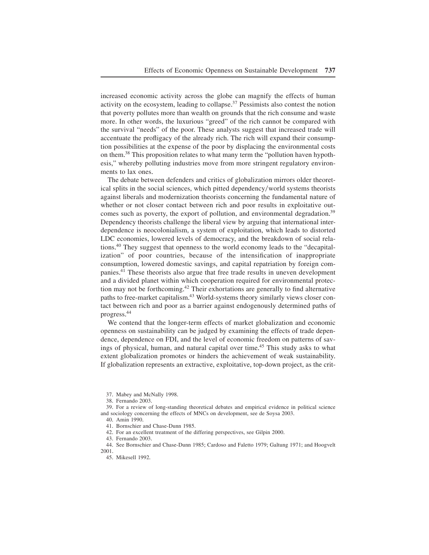increased economic activity across the globe can magnify the effects of human activity on the ecosystem, leading to collapse. $37$  Pessimists also contest the notion that poverty pollutes more than wealth on grounds that the rich consume and waste more. In other words, the luxurious "greed" of the rich cannot be compared with the survival "needs" of the poor. These analysts suggest that increased trade will accentuate the profligacy of the already rich. The rich will expand their consumption possibilities at the expense of the poor by displacing the environmental costs on them.<sup>38</sup> This proposition relates to what many term the "pollution haven hypothesis," whereby polluting industries move from more stringent regulatory environments to lax ones.

The debate between defenders and critics of globalization mirrors older theoretical splits in the social sciences, which pitted dependency/world systems theorists against liberals and modernization theorists concerning the fundamental nature of whether or not closer contact between rich and poor results in exploitative outcomes such as poverty, the export of pollution, and environmental degradation.<sup>39</sup> Dependency theorists challenge the liberal view by arguing that international interdependence is neocolonialism, a system of exploitation, which leads to distorted LDC economies, lowered levels of democracy, and the breakdown of social relations+ <sup>40</sup> They suggest that openness to the world economy leads to the "decapitalization" of poor countries, because of the intensification of inappropriate consumption, lowered domestic savings, and capital repatriation by foreign companies.<sup>41</sup> These theorists also argue that free trade results in uneven development and a divided planet within which cooperation required for environmental protection may not be forthcoming.<sup>42</sup> Their exhortations are generally to find alternative paths to free-market capitalism.<sup>43</sup> World-systems theory similarly views closer contact between rich and poor as a barrier against endogenously determined paths of progress.<sup>44</sup>

We contend that the longer-term effects of market globalization and economic openness on sustainability can be judged by examining the effects of trade dependence, dependence on FDI, and the level of economic freedom on patterns of savings of physical, human, and natural capital over time.<sup>45</sup> This study asks to what extent globalization promotes or hinders the achievement of weak sustainability. If globalization represents an extractive, exploitative, top-down project, as the crit-

37. Mabey and McNally 1998.

41. Bornschier and Chase-Dunn 1985.

42. For an excellent treatment of the differing perspectives, see Gilpin 2000.

43. Fernando 2003.

44+ See Bornschier and Chase-Dunn 1985; Cardoso and Faletto 1979; Galtung 1971; and Hoogvelt 2001+

45. Mikesell 1992.

<sup>38.</sup> Fernando 2003.

<sup>39.</sup> For a review of long-standing theoretical debates and empirical evidence in political science and sociology concerning the effects of MNCs on development, see de Soysa 2003. 40. Amin 1990.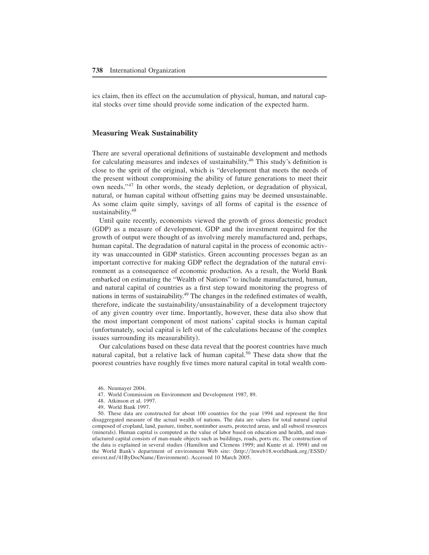ics claim, then its effect on the accumulation of physical, human, and natural capital stocks over time should provide some indication of the expected harm.

#### **Measuring Weak Sustainability**

There are several operational definitions of sustainable development and methods for calculating measures and indexes of sustainability.<sup>46</sup> This study's definition is close to the sprit of the original, which is "development that meets the needs of the present without compromising the ability of future generations to meet their own needs." $47$  In other words, the steady depletion, or degradation of physical, natural, or human capital without offsetting gains may be deemed unsustainable+ As some claim quite simply, savings of all forms of capital is the essence of sustainability.<sup>48</sup>

Until quite recently, economists viewed the growth of gross domestic product (GDP) as a measure of development. GDP and the investment required for the growth of output were thought of as involving merely manufactured and, perhaps, human capital. The degradation of natural capital in the process of economic activity was unaccounted in GDP statistics. Green accounting processes began as an important corrective for making GDP reflect the degradation of the natural environment as a consequence of economic production. As a result, the World Bank embarked on estimating the "Wealth of Nations" to include manufactured, human, and natural capital of countries as a first step toward monitoring the progress of nations in terms of sustainability.<sup>49</sup> The changes in the redefined estimates of wealth, therefore, indicate the sustainability/unsustainability of a development trajectory of any given country over time+ Importantly, however, these data also show that the most important component of most nations' capital stocks is human capital (unfortunately, social capital is left out of the calculations because of the complex issues surrounding its measurability).

Our calculations based on these data reveal that the poorest countries have much natural capital, but a relative lack of human capital.<sup>50</sup> These data show that the poorest countries have roughly five times more natural capital in total wealth com-

- 47. World Commission on Environment and Development 1987, 89.
- 48. Atkinson et al. 1997.
- 49. World Bank 1997.

50. These data are constructed for about 100 countries for the year 1994 and represent the first disaggregated measure of the actual wealth of nations. The data are values for total natural capital composed of cropland, land, pasture, timber, nontimber assets, protected areas, and all subsoil resources (minerals). Human capital is computed as the value of labor based on education and health, and manufactured capital consists of man-made objects such as buildings, roads, ports etc+ The construction of the data is explained in several studies (Hamilton and Clemens 1999; and Kunte et al. 1998) and on the World Bank's department of environment Web site:  $\langle$ http://lnweb18.worldbank.org/ESSD/ envext.nsf/41ByDocName/Environment). Accessed 10 March 2005.

<sup>46.</sup> Neumayer 2004.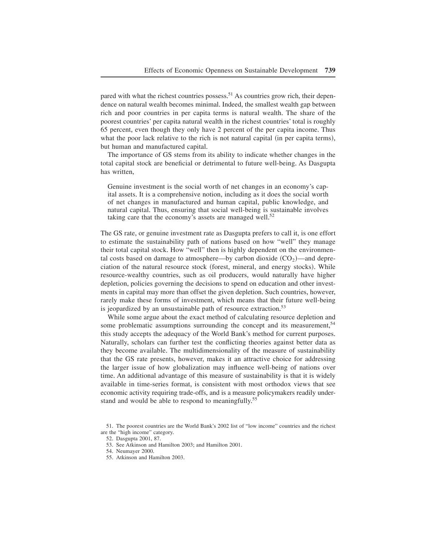pared with what the richest countries possess.<sup>51</sup> As countries grow rich, their dependence on natural wealth becomes minimal. Indeed, the smallest wealth gap between rich and poor countries in per capita terms is natural wealth. The share of the poorest countries' per capita natural wealth in the richest countries' total is roughly 65 percent, even though they only have 2 percent of the per capita income. Thus what the poor lack relative to the rich is not natural capital (in per capita terms), but human and manufactured capital.

The importance of GS stems from its ability to indicate whether changes in the total capital stock are beneficial or detrimental to future well-being. As Dasgupta has written,

Genuine investment is the social worth of net changes in an economy's capital assets. It is a comprehensive notion, including as it does the social worth of net changes in manufactured and human capital, public knowledge, and natural capital. Thus, ensuring that social well-being is sustainable involves taking care that the economy's assets are managed well.<sup>52</sup>

The GS rate, or genuine investment rate as Dasgupta prefers to call it, is one effort to estimate the sustainability path of nations based on how "well" they manage their total capital stock. How "well" then is highly dependent on the environmental costs based on damage to atmosphere—by carbon dioxide  $(CO<sub>2</sub>)$ —and depreciation of the natural resource stock (forest, mineral, and energy stocks). While resource-wealthy countries, such as oil producers, would naturally have higher depletion, policies governing the decisions to spend on education and other investments in capital may more than offset the given depletion. Such countries, however, rarely make these forms of investment, which means that their future well-being is jeopardized by an unsustainable path of resource extraction.<sup>53</sup>

While some argue about the exact method of calculating resource depletion and some problematic assumptions surrounding the concept and its measurement,<sup>54</sup> this study accepts the adequacy of the World Bank's method for current purposes. Naturally, scholars can further test the conflicting theories against better data as they become available+ The multidimensionality of the measure of sustainability that the GS rate presents, however, makes it an attractive choice for addressing the larger issue of how globalization may influence well-being of nations over time. An additional advantage of this measure of sustainability is that it is widely available in time-series format, is consistent with most orthodox views that see economic activity requiring trade-offs, and is a measure policymakers readily understand and would be able to respond to meaningfully.<sup>55</sup>

55. Atkinson and Hamilton 2003.

<sup>51.</sup> The poorest countries are the World Bank's 2002 list of "low income" countries and the richest are the "high income" category.

<sup>52.</sup> Dasgupta 2001, 87.

<sup>53.</sup> See Atkinson and Hamilton 2003; and Hamilton 2001.

<sup>54.</sup> Neumayer 2000.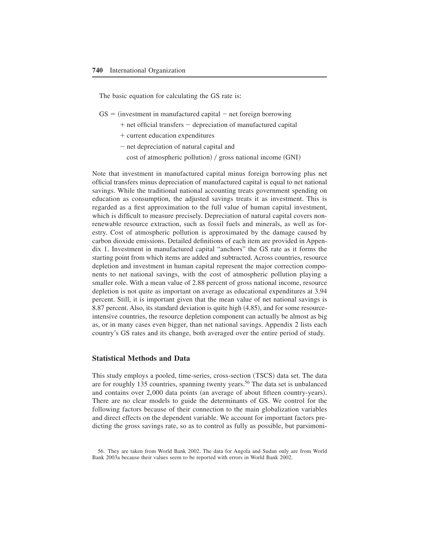The basic equation for calculating the GS rate is:

- $GS =$  (investment in manufactured capital net foreign borrowing
	- + net official transfers depreciation of manufactured capital
	- + current education expenditures
	- net depreciation of natural capital and
		- cost of atmospheric pollution) / gross national income  $(GNI)$

Note that investment in manufactured capital minus foreign borrowing plus net official transfers minus depreciation of manufactured capital is equal to net national savings. While the traditional national accounting treats government spending on education as consumption, the adjusted savings treats it as investment. This is regarded as a first approximation to the full value of human capital investment, which is difficult to measure precisely. Depreciation of natural capital covers nonrenewable resource extraction, such as fossil fuels and minerals, as well as forestry. Cost of atmospheric pollution is approximated by the damage caused by carbon dioxide emissions. Detailed definitions of each item are provided in Appendix 1. Investment in manufactured capital "anchors" the GS rate as it forms the starting point from which items are added and subtracted. Across countries, resource depletion and investment in human capital represent the major correction components to net national savings, with the cost of atmospheric pollution playing a smaller role. With a mean value of 2.88 percent of gross national income, resource depletion is not quite as important on average as educational expenditures at 3.94 percent. Still, it is important given that the mean value of net national savings is 8.87 percent. Also, its standard deviation is quite high  $(4.85)$ , and for some resourceintensive countries, the resource depletion component can actually be almost as big as, or in many cases even bigger, than net national savings+ Appendix 2 lists each country's GS rates and its change, both averaged over the entire period of study.

#### **Statistical Methods and Data**

This study employs a pooled, time-series, cross-section (TSCS) data set. The data are for roughly 135 countries, spanning twenty years.<sup>56</sup> The data set is unbalanced and contains over  $2,000$  data points (an average of about fifteen country-years). There are no clear models to guide the determinants of GS. We control for the following factors because of their connection to the main globalization variables and direct effects on the dependent variable. We account for important factors predicting the gross savings rate, so as to control as fully as possible, but parsimoni-

<sup>56.</sup> They are taken from World Bank 2002. The data for Angola and Sudan only are from World Bank 2003a because their values seem to be reported with errors in World Bank 2002+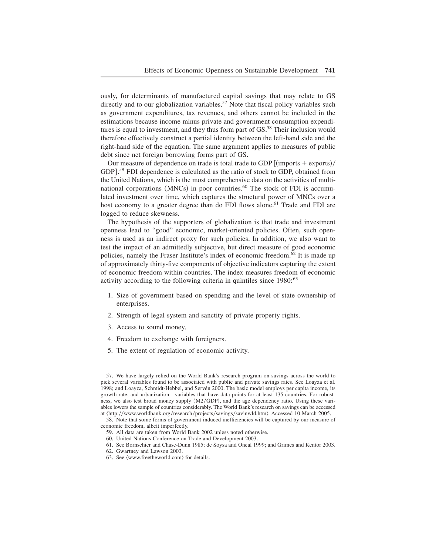ously, for determinants of manufactured capital savings that may relate to GS directly and to our globalization variables.<sup>57</sup> Note that fiscal policy variables such as government expenditures, tax revenues, and others cannot be included in the estimations because income minus private and government consumption expenditures is equal to investment, and they thus form part of GS.<sup>58</sup> Their inclusion would therefore effectively construct a partial identity between the left-hand side and the right-hand side of the equation. The same argument applies to measures of public debt since net foreign borrowing forms part of GS.

Our measure of dependence on trade is total trade to GDP  $\frac{[$  (imports  $+$  exports) $/$ GDP].<sup>59</sup> FDI dependence is calculated as the ratio of stock to GDP, obtained from the United Nations, which is the most comprehensive data on the activities of multinational corporations (MNCs) in poor countries.<sup>60</sup> The stock of FDI is accumulated investment over time, which captures the structural power of MNCs over a host economy to a greater degree than do FDI flows alone.<sup>61</sup> Trade and FDI are logged to reduce skewness.

The hypothesis of the supporters of globalization is that trade and investment openness lead to "good" economic, market-oriented policies+ Often, such openness is used as an indirect proxy for such policies. In addition, we also want to test the impact of an admittedly subjective, but direct measure of good economic policies, namely the Fraser Institute's index of economic freedom.<sup>62</sup> It is made up of approximately thirty-five components of objective indicators capturing the extent of economic freedom within countries+ The index measures freedom of economic activity according to the following criteria in quintiles since 1980:<sup>63</sup>

- 1. Size of government based on spending and the level of state ownership of enterprises.
- 2. Strength of legal system and sanctity of private property rights.
- 3. Access to sound money.
- 4. Freedom to exchange with foreigners.
- 5. The extent of regulation of economic activity.

- 59. All data are taken from World Bank 2002 unless noted otherwise.
- 60. United Nations Conference on Trade and Development 2003.
- 61. See Bornschier and Chase-Dunn 1985; de Soysa and Oneal 1999; and Grimes and Kentor 2003.
- 62. Gwartney and Lawson 2003.
- 63. See  $\langle www.freetneword.com \rangle$  for details.

<sup>57.</sup> We have largely relied on the World Bank's research program on savings across the world to pick several variables found to be associated with public and private savings rates. See Loayza et al. 1998; and Loayza, Schmidt-Hebbel, and Servén 2000. The basic model employs per capita income, its growth rate, and urbanization—variables that have data points for at least 135 countries. For robustness, we also test broad money supply (M2/GDP), and the age dependency ratio. Using these variables lowers the sample of countries considerably. The World Bank's research on savings can be accessed at  $\langle$ http://www.worldbank.org/research/projects/savings/savinwld.htm $\rangle$ . Accessed 10 March 2005.

<sup>58.</sup> Note that some forms of government induced inefficiencies will be captured by our measure of economic freedom, albeit imperfectly.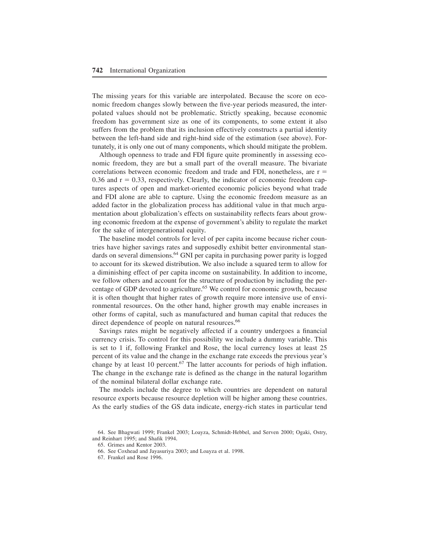The missing years for this variable are interpolated. Because the score on economic freedom changes slowly between the five-year periods measured, the interpolated values should not be problematic+ Strictly speaking, because economic freedom has government size as one of its components, to some extent it also suffers from the problem that its inclusion effectively constructs a partial identity between the left-hand side and right-hind side of the estimation (see above). Fortunately, it is only one out of many components, which should mitigate the problem+

Although openness to trade and FDI figure quite prominently in assessing economic freedom, they are but a small part of the overall measure. The bivariate correlations between economic freedom and trade and FDI, nonetheless, are r 0.36 and  $r = 0.33$ , respectively. Clearly, the indicator of economic freedom captures aspects of open and market-oriented economic policies beyond what trade and FDI alone are able to capture. Using the economic freedom measure as an added factor in the globalization process has additional value in that much argumentation about globalization's effects on sustainability reflects fears about growing economic freedom at the expense of government's ability to regulate the market for the sake of intergenerational equity.

The baseline model controls for level of per capita income because richer countries have higher savings rates and supposedly exhibit better environmental standards on several dimensions.<sup>64</sup> GNI per capita in purchasing power parity is logged to account for its skewed distribution+ We also include a squared term to allow for a diminishing effect of per capita income on sustainability. In addition to income, we follow others and account for the structure of production by including the percentage of GDP devoted to agriculture.<sup>65</sup> We control for economic growth, because it is often thought that higher rates of growth require more intensive use of environmental resources. On the other hand, higher growth may enable increases in other forms of capital, such as manufactured and human capital that reduces the direct dependence of people on natural resources.<sup>66</sup>

Savings rates might be negatively affected if a country undergoes a financial currency crisis. To control for this possibility we include a dummy variable. This is set to 1 if, following Frankel and Rose, the local currency loses at least 25 percent of its value and the change in the exchange rate exceeds the previous year's change by at least 10 percent.<sup>67</sup> The latter accounts for periods of high inflation. The change in the exchange rate is defined as the change in the natural logarithm of the nominal bilateral dollar exchange rate.

The models include the degree to which countries are dependent on natural resource exports because resource depletion will be higher among these countries. As the early studies of the GS data indicate, energy-rich states in particular tend

<sup>64</sup>+ See Bhagwati 1999; Frankel 2003; Loayza, Schmidt-Hebbel, and Serven 2000; Ogaki, Ostry, and Reinhart 1995; and Shafik 1994.

<sup>65.</sup> Grimes and Kentor 2003.

<sup>66.</sup> See Coxhead and Jayasuriya 2003; and Loayza et al. 1998.

<sup>67.</sup> Frankel and Rose 1996.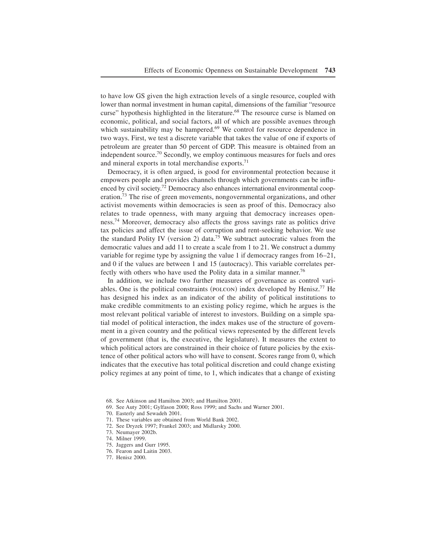to have low GS given the high extraction levels of a single resource, coupled with lower than normal investment in human capital, dimensions of the familiar "resource curse" hypothesis highlighted in the literature.<sup>68</sup> The resource curse is blamed on economic, political, and social factors, all of which are possible avenues through which sustainability may be hampered.<sup>69</sup> We control for resource dependence in two ways. First, we test a discrete variable that takes the value of one if exports of petroleum are greater than 50 percent of GDP. This measure is obtained from an independent source.<sup>70</sup> Secondly, we employ continuous measures for fuels and ores and mineral exports in total merchandise exports. $71$ 

Democracy, it is often argued, is good for environmental protection because it empowers people and provides channels through which governments can be influenced by civil society.<sup>72</sup> Democracy also enhances international environmental cooperation.<sup>73</sup> The rise of green movements, nongovernmental organizations, and other activist movements within democracies is seen as proof of this. Democracy also relates to trade openness, with many arguing that democracy increases openness.<sup>74</sup> Moreover, democracy also affects the gross savings rate as politics drive tax policies and affect the issue of corruption and rent-seeking behavior. We use the standard Polity IV (version 2) data.<sup>75</sup> We subtract autocratic values from the democratic values and add 11 to create a scale from 1 to 21. We construct a dummy variable for regime type by assigning the value 1 if democracy ranges from 16–21, and  $0$  if the values are between 1 and 15 (autocracy). This variable correlates perfectly with others who have used the Polity data in a similar manner.<sup>76</sup>

In addition, we include two further measures of governance as control variables. One is the political constraints (POLCON) index developed by Henisz.<sup>77</sup> He has designed his index as an indicator of the ability of political institutions to make credible commitments to an existing policy regime, which he argues is the most relevant political variable of interest to investors. Building on a simple spatial model of political interaction, the index makes use of the structure of government in a given country and the political views represented by the different levels of government (that is, the executive, the legislature). It measures the extent to which political actors are constrained in their choice of future policies by the existence of other political actors who will have to consent. Scores range from 0, which indicates that the executive has total political discretion and could change existing policy regimes at any point of time, to 1, which indicates that a change of existing

68. See Atkinson and Hamilton 2003; and Hamilton 2001.

69. See Auty 2001; Gylfason 2000; Ross 1999; and Sachs and Warner 2001.

70. Easterly and Sewadeh 2001.

- 71. These variables are obtained from World Bank 2002.
- 72. See Dryzek 1997; Frankel 2003; and Midlarsky 2000.
- 73. Neumayer 2002b.

- 75. Jaggers and Gurr 1995.
- 76. Fearon and Laitin 2003.
- 77. Henisz 2000.

<sup>74.</sup> Milner 1999.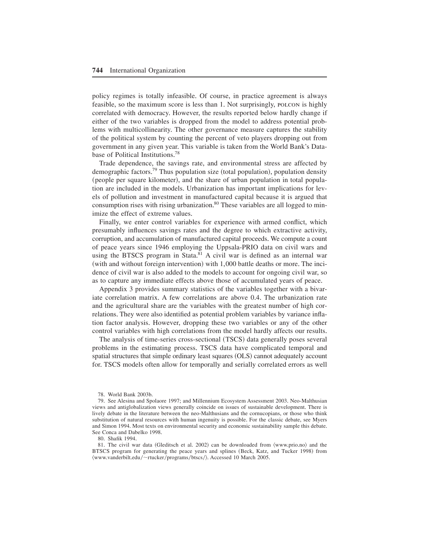policy regimes is totally infeasible+ Of course, in practice agreement is always feasible, so the maximum score is less than 1+ Not surprisingly, polcon is highly correlated with democracy. However, the results reported below hardly change if either of the two variables is dropped from the model to address potential problems with multicollinearity. The other governance measure captures the stability of the political system by counting the percent of veto players dropping out from government in any given year+ This variable is taken from the World Bank's Database of Political Institutions.<sup>78</sup>

Trade dependence, the savings rate, and environmental stress are affected by demographic factors.<sup>79</sup> Thus population size (total population), population density (people per square kilometer), and the share of urban population in total population are included in the models. Urbanization has important implications for levels of pollution and investment in manufactured capital because it is argued that consumption rises with rising urbanization.<sup>80</sup> These variables are all logged to minimize the effect of extreme values.

Finally, we enter control variables for experience with armed conflict, which presumably influences savings rates and the degree to which extractive activity, corruption, and accumulation of manufactured capital proceeds. We compute a count of peace years since 1946 employing the Uppsala-PRIO data on civil wars and using the BTSCS program in Stata.<sup>81</sup> A civil war is defined as an internal war  $(with and without foreign intervention) with 1,000 battle deaths or more. The inci$ dence of civil war is also added to the models to account for ongoing civil war, so as to capture any immediate effects above those of accumulated years of peace.

Appendix 3 provides summary statistics of the variables together with a bivariate correlation matrix. A few correlations are above 0.4. The urbanization rate and the agricultural share are the variables with the greatest number of high correlations. They were also identified as potential problem variables by variance inflation factor analysis+ However, dropping these two variables or any of the other control variables with high correlations from the model hardly affects our results.

The analysis of time-series cross-sectional (TSCS) data generally poses several problems in the estimating process. TSCS data have complicated temporal and spatial structures that simple ordinary least squares  $(OLS)$  cannot adequately account for, TSCS models often allow for temporally and serially correlated errors as well

80. Shafik 1994.

81. The civil war data (Gleditsch et al. 2002) can be downloaded from  $\langle www.prio.no\rangle$  and the BTSCS program for generating the peace years and splines (Beck, Katz, and Tucker 1998) from  $\langle$ www.vanderbilt.edu/~rtucker/programs/btscs/ $\rangle$ . Accessed 10 March 2005.

<sup>78.</sup> World Bank 2003b.

<sup>79.</sup> See Alesina and Spolaore 1997; and Millennium Ecosystem Assessment 2003. Neo-Malthusian views and antiglobalization views generally coincide on issues of sustainable development+ There is lively debate in the literature between the neo-Malthusians and the cornucopians, or those who think substitution of natural resources with human ingenuity is possible. For the classic debate, see Myers and Simon 1994. Most texts on environmental security and economic sustainability sample this debate. See Conca and Dabelko 1998.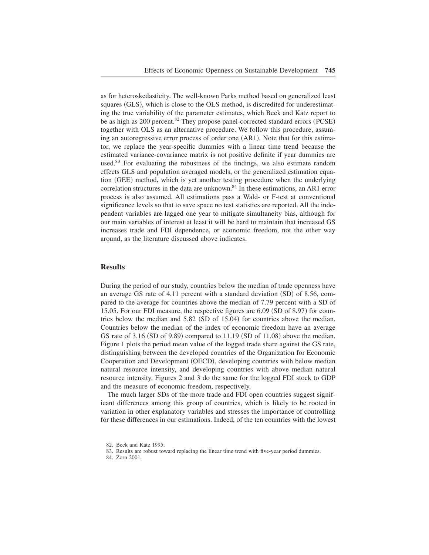as for heteroskedasticity. The well-known Parks method based on generalized least squares (GLS), which is close to the OLS method, is discredited for underestimating the true variability of the parameter estimates, which Beck and Katz report to be as high as 200 percent.<sup>82</sup> They propose panel-corrected standard errors (PCSE) together with OLS as an alternative procedure. We follow this procedure, assuming an autoregressive error process of order one  $(AR1)$ . Note that for this estimator, we replace the year-specific dummies with a linear time trend because the estimated variance-covariance matrix is not positive definite if year dummies are used.<sup>83</sup> For evaluating the robustness of the findings, we also estimate random effects GLS and population averaged models, or the generalized estimation equation (GEE) method, which is yet another testing procedure when the underlying correlation structures in the data are unknown.<sup>84</sup> In these estimations, an AR1 error process is also assumed+ All estimations pass a Wald- or F-test at conventional significance levels so that to save space no test statistics are reported. All the independent variables are lagged one year to mitigate simultaneity bias, although for our main variables of interest at least it will be hard to maintain that increased GS increases trade and FDI dependence, or economic freedom, not the other way around, as the literature discussed above indicates+

## **Results**

During the period of our study, countries below the median of trade openness have an average GS rate of  $4.11$  percent with a standard deviation  $(SD)$  of 8.56, compared to the average for countries above the median of 7.79 percent with a SD of 15.05. For our FDI measure, the respective figures are  $6.09$  (SD of 8.97) for countries below the median and  $5.82$  (SD of 15.04) for countries above the median. Countries below the median of the index of economic freedom have an average GS rate of 3.16  $(SD of 9.89)$  compared to 11.19  $(SD of 11.08)$  above the median. Figure 1 plots the period mean value of the logged trade share against the GS rate, distinguishing between the developed countries of the Organization for Economic Cooperation and Development (OECD), developing countries with below median natural resource intensity, and developing countries with above median natural resource intensity. Figures 2 and 3 do the same for the logged FDI stock to GDP and the measure of economic freedom, respectively.

The much larger SDs of the more trade and FDI open countries suggest significant differences among this group of countries, which is likely to be rooted in variation in other explanatory variables and stresses the importance of controlling for these differences in our estimations. Indeed, of the ten countries with the lowest

<sup>82.</sup> Beck and Katz 1995.

<sup>83.</sup> Results are robust toward replacing the linear time trend with five-year period dummies.

<sup>84.</sup> Zorn 2001.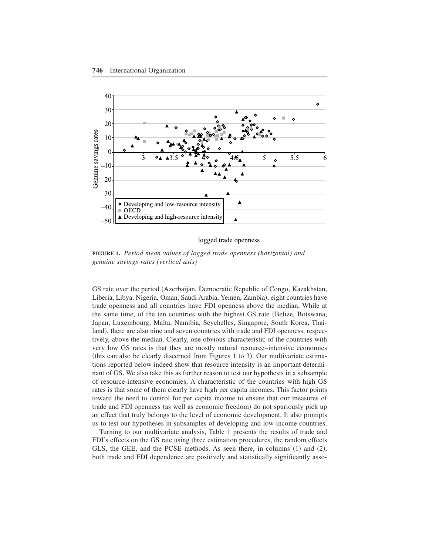

logged trade openness

**FIGURE 1.** *Period mean values of logged trade openness (horizontal) and genuine savings rates (vertical axis)*

GS rate over the period (Azerbaijan, Democratic Republic of Congo, Kazakhstan, Liberia, Libya, Nigeria, Oman, Saudi Arabia, Yemen, Zambia), eight countries have trade openness and all countries have FDI openness above the median+ While at the same time, of the ten countries with the highest GS rate (Belize, Botswana, Japan, Luxembourg, Malta, Namibia, Seychelles, Singapore, South Korea, Thailand), there are also nine and seven countries with trade and FDI openness, respectively, above the median. Clearly, one obvious characteristic of the countries with very low GS rates is that they are mostly natural resource–intensive economies (this can also be clearly discerned from Figures 1 to 3). Our multivariate estimations reported below indeed show that resource intensity is an important determinant of GS. We also take this as further reason to test our hypothesis in a subsample of resource-intensive economies+ A characteristic of the countries with high GS rates is that some of them clearly have high per capita incomes. This factor points toward the need to control for per capita income to ensure that our measures of trade and FDI openness (as well as economic freedom) do not spuriously pick up an effect that truly belongs to the level of economic development. It also prompts us to test our hypotheses in subsamples of developing and low-income countries+

Turning to our multivariate analysis, Table 1 presents the results of trade and FDI's effects on the GS rate using three estimation procedures, the random effects GLS, the GEE, and the PCSE methods. As seen there, in columns  $(1)$  and  $(2)$ , both trade and FDI dependence are positively and statistically significantly asso-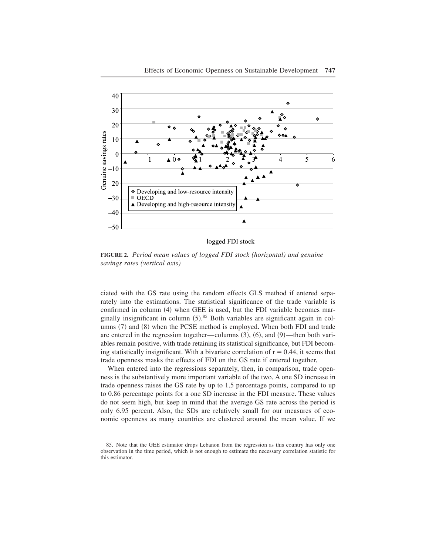

logged FDI stock

**FIGURE 2.** *Period mean values of logged FDI stock (horizontal) and genuine savings rates (vertical axis)*

ciated with the GS rate using the random effects GLS method if entered separately into the estimations. The statistical significance of the trade variable is confirmed in column  $(4)$  when GEE is used, but the FDI variable becomes marginally insignificant in column  $(5)$ .<sup>85</sup> Both variables are significant again in columns  $(7)$  and  $(8)$  when the PCSE method is employed. When both FDI and trade are entered in the regression together—columns  $(3)$ ,  $(6)$ , and  $(9)$ —then both variables remain positive, with trade retaining its statistical significance, but FDI becoming statistically insignificant. With a bivariate correlation of  $r = 0.44$ , it seems that trade openness masks the effects of FDI on the GS rate if entered together.

When entered into the regressions separately, then, in comparison, trade openness is the substantively more important variable of the two+ A one SD increase in trade openness raises the GS rate by up to 1.5 percentage points, compared to up to 0.86 percentage points for a one SD increase in the FDI measure. These values do not seem high, but keep in mind that the average GS rate across the period is only 6.95 percent. Also, the SDs are relatively small for our measures of economic openness as many countries are clustered around the mean value. If we

<sup>85.</sup> Note that the GEE estimator drops Lebanon from the regression as this country has only one observation in the time period, which is not enough to estimate the necessary correlation statistic for this estimator.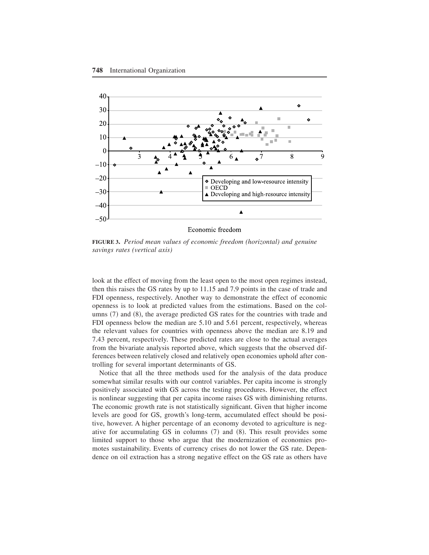

Economic freedom

**FIGURE 3.** *Period mean values of economic freedom (horizontal) and genuine savings rates (vertical axis)*

look at the effect of moving from the least open to the most open regimes instead, then this raises the GS rates by up to  $11.15$  and 7.9 points in the case of trade and FDI openness, respectively. Another way to demonstrate the effect of economic openness is to look at predicted values from the estimations+ Based on the columns  $(7)$  and  $(8)$ , the average predicted GS rates for the countries with trade and FDI openness below the median are 5.10 and 5.61 percent, respectively, whereas the relevant values for countries with openness above the median are 8.19 and 7.43 percent, respectively. These predicted rates are close to the actual averages from the bivariate analysis reported above, which suggests that the observed differences between relatively closed and relatively open economies uphold after controlling for several important determinants of GS.

Notice that all the three methods used for the analysis of the data produce somewhat similar results with our control variables. Per capita income is strongly positively associated with GS across the testing procedures. However, the effect is nonlinear suggesting that per capita income raises GS with diminishing returns. The economic growth rate is not statistically significant. Given that higher income levels are good for GS, growth's long-term, accumulated effect should be positive, however. A higher percentage of an economy devoted to agriculture is negative for accumulating  $GS$  in columns  $(7)$  and  $(8)$ . This result provides some limited support to those who argue that the modernization of economies promotes sustainability. Events of currency crises do not lower the GS rate. Dependence on oil extraction has a strong negative effect on the GS rate as others have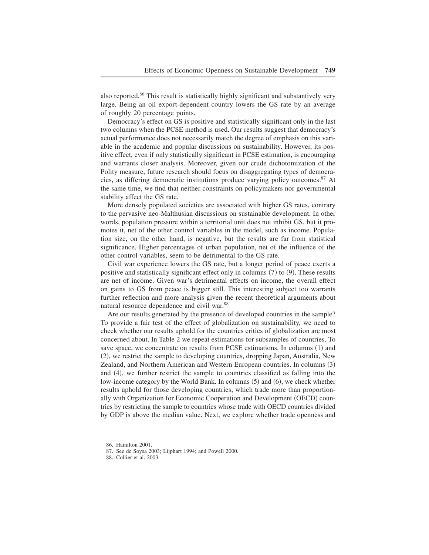also reported.<sup>86</sup> This result is statistically highly significant and substantively very large. Being an oil export-dependent country lowers the GS rate by an average of roughly 20 percentage points.

Democracy's effect on GS is positive and statistically significant only in the last two columns when the PCSE method is used. Our results suggest that democracy's actual performance does not necessarily match the degree of emphasis on this variable in the academic and popular discussions on sustainability. However, its positive effect, even if only statistically significant in PCSE estimation, is encouraging and warrants closer analysis. Moreover, given our crude dichotomization of the Polity measure, future research should focus on disaggregating types of democracies, as differing democratic institutions produce varying policy outcomes.<sup>87</sup> At the same time, we find that neither constraints on policymakers nor governmental stability affect the GS rate.

More densely populated societies are associated with higher GS rates, contrary to the pervasive neo-Malthusian discussions on sustainable development. In other words, population pressure within a territorial unit does not inhibit GS, but it promotes it, net of the other control variables in the model, such as income. Population size, on the other hand, is negative, but the results are far from statistical significance. Higher percentages of urban population, net of the influence of the other control variables, seem to be detrimental to the GS rate.

Civil war experience lowers the GS rate, but a longer period of peace exerts a positive and statistically significant effect only in columns  $(7)$  to  $(9)$ . These results are net of income, Given war's detrimental effects on income, the overall effect on gains to GS from peace is bigger still. This interesting subject too warrants further reflection and more analysis given the recent theoretical arguments about natural resource dependence and civil war.<sup>88</sup>

Are our results generated by the presence of developed countries in the sample? To provide a fair test of the effect of globalization on sustainability, we need to check whether our results uphold for the countries critics of globalization are most concerned about. In Table 2 we repeat estimations for subsamples of countries. To save space, we concentrate on results from PCSE estimations. In columns  $(1)$  and  $(2)$ , we restrict the sample to developing countries, dropping Japan, Australia, New Zealand, and Northern American and Western European countries. In columns (3) and  $(4)$ , we further restrict the sample to countries classified as falling into the low-income category by the World Bank. In columns (5) and (6), we check whether results uphold for those developing countries, which trade more than proportionally with Organization for Economic Cooperation and Development (OECD) countries by restricting the sample to countries whose trade with OECD countries divided by GDP is above the median value. Next, we explore whether trade openness and

<sup>86.</sup> Hamilton 2001.

<sup>87.</sup> See de Soysa 2003; Lijphart 1994; and Powell 2000.

<sup>88.</sup> Collier et al. 2003.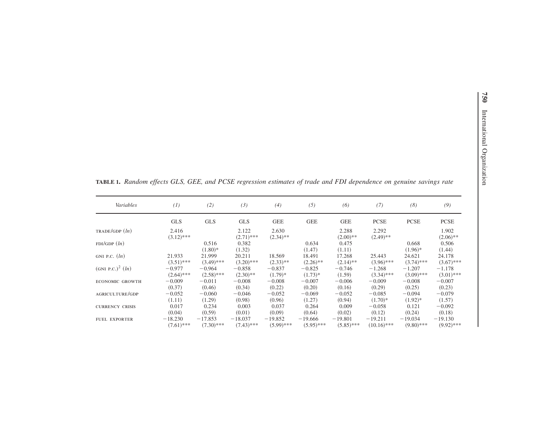| Variables                      | (1)                   | (2)                | (3)                   | (4)                  | (5)             | (6)                 | (7)                  | (8)                 | (9)                  |
|--------------------------------|-----------------------|--------------------|-----------------------|----------------------|-----------------|---------------------|----------------------|---------------------|----------------------|
|                                | <b>GLS</b>            | <b>GLS</b>         | <b>GLS</b>            | <b>GEE</b>           | <b>GEE</b>      | <b>GEE</b>          | <b>PCSE</b>          | <b>PCSE</b>         | <b>PCSE</b>          |
| TRADE/GDP(h)                   | 2.416<br>$(3.12)$ *** |                    | 2.122<br>$(2.71)$ *** | 2.630<br>$(2.34)$ ** |                 | 2.288<br>$(2.00)**$ | 2.292<br>$(2.49)$ ** |                     | 1.902<br>$(2.06)$ ** |
| FDI/GDP(h)                     |                       | 0.516<br>$(1.80)*$ | 0.382<br>(1.32)       |                      | 0.634<br>(1.47) | 0.475<br>(1.11)     |                      | 0.668<br>$(1.96)$ * | 0.506<br>(1.44)      |
| GNI P.C. $(ln)$                | 21.933                | 21.999             | 20.211                | 18.569               | 18.491          | 17.268              | 25.443               | 24.621              | 24.178               |
|                                | $(3.51)$ ***          | $(3.49)$ ***       | $(3.20)$ ***          | $(2.33)$ **          | $(2.26)$ **     | $(2.14)$ **         | $(3.96)$ ***         | $(3.74)$ ***        | $(3.67)$ ***         |
| (GNI P.C.) <sup>2</sup> $(ln)$ | $-0.977$              | $-0.964$           | $-0.858$              | $-0.837$             | $-0.825$        | $-0.746$            | $-1.268$             | $-1.207$            | $-1.178$             |
|                                | $(2.64)$ ***          | $(2.58)$ ***       | $(2.30)$ **           | $(1.79)*$            | $(1.73)*$       | (1.59)              | $(3.34)$ ***         | $(3.09)$ ***        | $(3.01)$ ***         |
| ECONOMIC GROWTH                | $-0.009$              | $-0.011$           | $-0.008$              | $-0.008$             | $-0.007$        | $-0.006$            | $-0.009$             | $-0.008$            | $-0.007$             |
|                                | (0.37)                | (0.46)             | (0.34)                | (0.22)               | (0.20)          | (0.16)              | (0.29)               | (0.25)              | (0.23)               |
| AGRICULTURE/GDP                | $-0.052$              | $-0.060$           | $-0.046$              | $-0.052$             | $-0.069$        | $-0.052$            | $-0.085$             | $-0.094$            | $-0.079$             |
|                                | (1.11)                | (1.29)             | (0.98)                | (0.96)               | (1.27)          | (0.94)              | $(1.70)*$            | $(1.92)*$           | (1.57)               |
| <b>CURRENCY CRISIS</b>         | 0.017                 | 0.234              | 0.003                 | 0.037                | 0.264           | 0.009               | $-0.058$             | 0.121               | $-0.092$             |
|                                | (0.04)                | (0.59)             | (0.01)                | (0.09)               | (0.64)          | (0.02)              | (0.12)               | (0.24)              | (0.18)               |
| <b>FUEL EXPORTER</b>           | $-18.230$             | $-17.853$          | $-18.037$             | $-19.852$            | $-19,666$       | $-19.801$           | $-19.211$            | $-19.034$           | $-19.130$            |
|                                | $(7.61)$ ***          | $(7.30)$ ***       | $(7.43)$ ***          | $(5.99)$ ***         | $(5.95)$ ***    | $(5.85)$ ***        | $(10.16)$ ***        | $(9.80)$ ***        | $(9.92)$ ***         |

**TABLE 1.** Random effects GLS, GEE, and PCSE regression estimates of trade and FDI dependence on genuine savings rate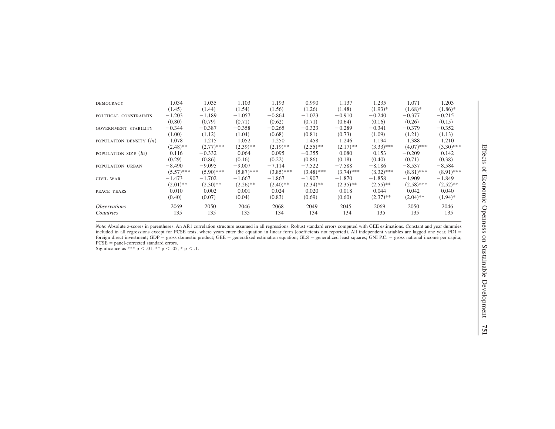| <b>DEMOCRACY</b>                 | 1.034        | 1.035        | 1.103        | 1.193        | 0.990        | 1.137        | 1.235        | 1.071        | 1.203        |
|----------------------------------|--------------|--------------|--------------|--------------|--------------|--------------|--------------|--------------|--------------|
|                                  | (1.45)       | (1.44)       | (1.54)       | (1.56)       | (1.26)       | (1.48)       | $(1.93)*$    | $(1.68)*$    | $(1.86)$ *   |
| POLITICAL CONSTRAINTS            | $-1,203$     | $-1.189$     | $-1.057$     | $-0.864$     | $-1.023$     | $-0.910$     | $-0.240$     | $-0.377$     | $-0.215$     |
|                                  | (0.80)       | (0.79)       | (0.71)       | (0.62)       | (0.71)       | (0.64)       | (0.16)       | (0.26)       | (0.15)       |
| <b>GOVERNMENT STABILITY</b>      | $-0.344$     | $-0.387$     | $-0.358$     | $-0.265$     | $-0.323$     | $-0.289$     | $-0.341$     | $-0.379$     | $-0.352$     |
|                                  | (1.00)       | (1.12)       | (1.04)       | (0.68)       | (0.81)       | (0.73)       | (1.09)       | (1.21)       | (1.13)       |
| POPULATION DENSITY ( <i>ln</i> ) | 1.078        | 1.215        | 1.052        | 1.250        | 1.458        | 1.246        | 1.194        | 1.388        | 1.210        |
|                                  | $(2.48)$ **  | $(2.77)$ *** | $(2.39)$ **  | $(2.19)$ **  | $(2.55)$ **  | $(2.17)$ **  | $(3.33)$ *** | $(4.07)$ *** | $(3.30)$ *** |
| POPULATION SIZE $(ln)$           | 0.116        | $-0.332$     | 0.064        | 0.095        | $-0.355$     | 0.080        | 0.153        | $-0.209$     | 0.142        |
|                                  | (0.29)       | (0.86)       | (0.16)       | (0.22)       | (0.86)       | (0.18)       | (0.40)       | (0.71)       | (0.38)       |
| POPULATION URBAN                 | $-8.490$     | $-9.095$     | $-9.007$     | $-7.114$     | $-7.522$     | $-7.588$     | $-8.186$     | $-8.537$     | $-8.584$     |
|                                  | $(5.57)$ *** | $(5.90)$ *** | $(5.87)$ *** | $(3.85)$ *** | $(3.48)$ *** | $(3.74)$ *** | $(8.32)$ *** | $(8.81)$ *** | $(8.91)$ *** |
| CIVIL WAR                        | $-1.473$     | $-1.702$     | $-1.667$     | $-1.867$     | $-1.907$     | $-1.870$     | $-1.858$     | $-1.909$     | $-1.849$     |
|                                  | $(2.01)$ **  | $(2.30)$ **  | $(2.26)$ **  | $(2.40)$ **  | $(2.34)$ **  | $(2.35)$ **  | $(2.55)$ **  | $(2.58)$ *** | $(2.52)$ **  |
| PEACE YEARS                      | 0.010        | 0.002        | 0.001        | 0.024        | 0.020        | 0.018        | 0.044        | 0.042        | 0.040        |
|                                  | (0.40)       | (0.07)       | (0.04)       | (0.83)       | (0.69)       | (0.60)       | $(2.37)$ **  | $(2.04)$ **  | $(1.94)$ *   |
| <i><b>Observations</b></i>       | 2069         | 2050         | 2046         | 2068         | 2049         | 2045         | 2069         | 2050         | 2046         |
| Countries                        | 135          | 135          | 135          | 134          | 134          | 134          | 135          | 135          | 135          |
|                                  |              |              |              |              |              |              |              |              |              |

*Note*: Absolute z-scores in parentheses. An AR1 correlation structure assumed in all regressions. Robust standard errors computed with GEE estimations. Constant and year dummies included in all regressions except for PCSE tests, where years enter the equation in linear form (coefficients not reported). All independent variables are lagged one year, FDI foreign direct investment; GDP = gross domestic product; GEE = generalized estimation equation; GLS = generalized least squares; GNI PC. = gross national income per capita;  $PCSE =$  panel-corrected standard errors.

Significance as \*\*\*  $p < .01$ , \*\*  $p < .05$ , \*  $p < .1$ .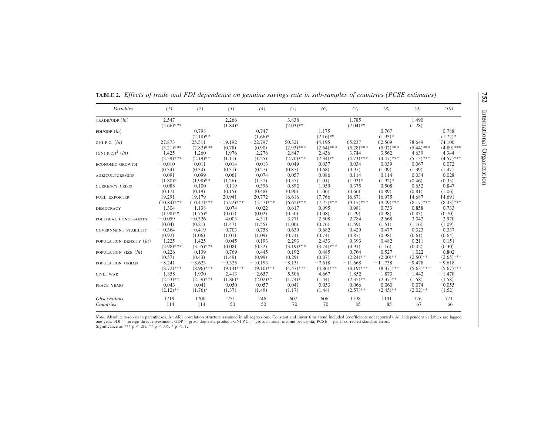| Variables                             | (I)                   | (2)                  | (3)                 | (4)                | (5)                  | (6)                  | (7)                  | (8)                | (9)             | (10)               |
|---------------------------------------|-----------------------|----------------------|---------------------|--------------------|----------------------|----------------------|----------------------|--------------------|-----------------|--------------------|
| TRADE/GDP(h)                          | 2.547<br>$(2.66)$ *** |                      | 2.266<br>$(1.84)$ * |                    | 3.838<br>$(2.03)$ ** |                      | 1.785<br>$(2.04)$ ** |                    | 1.490<br>(1.28) |                    |
| FDI/GDP(h)                            |                       | 0.798<br>$(2.18)$ ** |                     | 0.747<br>$(1.66)*$ |                      | 1.175<br>$(2.16)$ ** |                      | 0.767<br>$(1.93)*$ |                 | 0.788<br>$(1.72)*$ |
| GNI P.C. $(ln)$                       | 27.873                | 25.511               | $-19.192$           | $-22.797$          | 50.321               | 44.195               | 65.237               | 62.569             | 78.649          | 74.100             |
|                                       | $(3.21)$ ***          | $(2.82)$ ***         | (0.78)              | (0.90)             | $(2.93)$ ***         | $(2.64)$ ***         | $(5.28)$ ***         | $(5.02)$ ***       | $(5.44)$ ***    | $(4.89)$ ***       |
| (GNI P.C.) <sup>2</sup> ( <i>ln</i> ) | $-1.425$              | $-1,260$             | 1.976               | 2.276              | $-2.847$             | $-2.436$             | $-3.744$             | $-3.562$           | $-4.639$        | $-4.344$           |
|                                       | $(2.59)$ ***          | $(2.19)$ **          | (1.11)              | (1.25)             | $(2.70)$ ***         | $(2.34)$ **          | $(4.73)$ ***         | $(4.47)$ ***       | $(5.13)$ ***    | $(4.57)$ ***       |
| <b>ECONOMIC GROWTH</b>                | $-0.010$              | $-0.011$             | $-0.014$            | $-0.013$           | $-0.049$             | $-0.037$             | $-0.034$             | $-0.039$           | $-0.067$        | $-0.072$           |
|                                       | (0.34)                | (0.34)               | (0.31)              | (0.27)             | (0.87)               | (0.68)               | (0.97)               | (1.09)             | (1.39)          | (1.47)             |
| AGRICULTURE/GDP                       | $-0.091$              | $-0.099$             | $-0.061$            | $-0.074$           | $-0.057$             | $-0.086$             | $-0.114$             | $-0.114$           | $-0.034$        | $-0.028$           |
|                                       | $(1.80)$ *            | $(1.98)$ **          | (1.26)              | (1.57)             | (0.57)               | (1.01)               | $(1.93)*$            | $(1.92)*$          | (0.46)          | (0.35)             |
| <b>CURRENCY CRISIS</b>                | $-0.088$              | 0.100                | 0.119               | 0.396              | 0.892                | 1.059                | 0.375                | 0.508              | 0.652           | 0.847              |
|                                       | (0.17)                | (0.19)               | (0.15)              | (0.48)             | (0.90)               | (1.06)               | (0.66)               | (0.89)             | (0.81)          | (1.06)             |
| <b>FUEL EXPORTER</b>                  | $-19.291$             | $-19.179$            | $-20.941$           | $-20.772$          | $-16.616$            | $-17,766$            | $-16.871$            | $-16.975$          | $-14.687$       | $-14,691$          |
|                                       | $(10.84)$ ***         | $(10.47)$ ***        | $(5.72)$ ***        | $(5.57)$ ***       | $(6.62)$ ***         | $(7.25)$ ***         | $(9.17)$ ***         | $(9.49)$ ***       | $(8.17)$ ***    | $(8.43)$ ***       |
| <b>DEMOCRACY</b>                      | 1.304                 | 1.138                | 0.074               | 0.022              | 0.617                | 0.095                | 0.981                | 0.733              | 0.858           | 0.733              |
|                                       | $(1.98)$ **           | $(1.75)*$            | (0.07)              | (0.02)             | (0.50)               | (0.08)               | (1.29)               | (0.98)             | (0.83)          | (0.70)             |
| POLITICAL CONSTRAINTS                 | $-0.059$              | $-0.326$             | 4.003               | 4.311              | 3.271                | 2.508                | 2.784                | 2.668              | 3.042           | 2.970              |
|                                       | (0.04)                | (0.21)               | (1.47)              | (1.55)             | (1.00)               | (0.76)               | (1.59)               | (1.51)             | (1.16)          | (1.09)             |
| <b>GOVERNMENT STABILITY</b>           | $-0.364$              | $-0.419$             | $-0.703$            | $-0.758$           | $-0.639$             | $-0.682$             | $-0.429$             | $-0.477$           | $-0.323$        | $-0.337$           |
|                                       | (0.92)                | (1.06)               | (1.01)              | (1.09)             | (0.74)               | (0.74)               | (0.87)               | (0.98)             | (0.61)          | (0.64)             |
| POPULATION DENSITY (ln)               | 1.225                 | 1.425                | $-0.045$            | $-0.193$           | 2.293                | 2.433                | 0.393                | 0.482              | 0.211           | 0.151              |
|                                       | $(2.98)$ ***          | $(3.55)$ ***         | (0.08)              | (0.32)             | $(3.19)$ ***         | $(3.74)$ ***         | (0.91)               | (1.16)             | (0.42)          | (0.30)             |
| POPULATION SIZE $(ln)$                | 0.226                 | $-0.139$             | 0.769               | 0.445              | $-0.192$             | $-0.485$             | 0.764                | 0.527              | 1.022           | 0.802              |
|                                       | (0.57)                | (0.43)               | (1.49)              | (0.99)             | (0.29)               | (0.87)               | $(2.24)$ **          | $(2.00)**$         | $(2.50)$ **     | $(2.65)$ ***       |
| POPULATION URBAN                      | $-8.241$              | $-8.623$             | $-9.325$            | $-10.193$          | $-8.131$             | $-7.618$             | $-11.668$            | $-11.738$          | $-9.478$        | $-9.618$           |
|                                       | $(8.72)$ ***          | $(8.96)$ ***         | $(9.14)$ ***        | $(9.10)$ ***       | $(4.57)$ ***         | $(4.86)$ ***         | $(8.19)$ ***         | $(8.37)$ ***       | $(5.63)$ ***    | $(5.67)$ ***       |
| CIVIL WAR                             | $-1.858$              | $-1.930$             | $-2.413$            | $-2.657$           | $-5.506$             | $-4.667$             | $-1.852$             | $-1.873$           | $-1.442$        | $-1.470$           |
|                                       | $(2.53)$ **           | $(2.59)$ ***         | $(1.86)$ *          | $(2.02)$ **        | $(1.74)$ *           | (1.44)               | $(2.35)$ **          | $(2.37)$ **        | (1.58)          | (1.58)             |
| PEACE YEARS                           | 0.043                 | 0.041                | 0.050               | 0.057              | 0.041                | 0.053                | 0.066                | 0.060              | 0.074           | 0.055              |
|                                       | $(2.12)$ **           | $(1.76)*$            | (1.37)              | (1.49)             | (1.17)               | (1.44)               | $(2.57)$ **          | $(2.45)$ **        | $(2.02)$ **     | (1.52)             |
| <i><b>Observations</b></i>            | 1719                  | 1700                 | 751                 | 746                | 607                  | 606                  | 1198                 | 1191               | 776             | 771                |
| Countries                             | 114                   | 114                  | 50                  | 50                 | 70                   | 70                   | 85                   | 85                 | 67              | 66                 |

**TABLE 2.** Effects of trade and FDI dependence on genuine savings rate in sub-samples of countries (PCSE estimates)

*Note:* Absolute z-scores in parentheses, An AR1 correlation structure assumed in all regressions. Constant and linear time trend included (coefficients not reported). All independent variables are lagged one year. FDI = foreign direct investment; GDP = gross domestic product; GNI P.C. = gross national income per capita; PCSE = panel-corrected standard errors.<br>Significance as \*\*\* p < .01, \*\* p < .05, \* p < .1.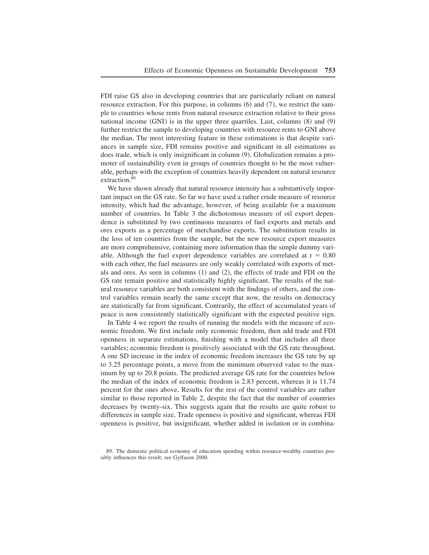FDI raise GS also in developing countries that are particularly reliant on natural resource extraction. For this purpose, in columns  $(6)$  and  $(7)$ , we restrict the sample to countries whose rents from natural resource extraction relative to their gross national income  $(GNI)$  is in the upper three quartiles. Last, columns  $(8)$  and  $(9)$ further restrict the sample to developing countries with resource rents to GNI above the median. The most interesting feature in these estimations is that despite variances in sample size, FDI remains positive and significant in all estimations as does trade, which is only insignificant in column  $(9)$ . Globalization remains a promoter of sustainability even in groups of countries thought to be the most vulnerable, perhaps with the exception of countries heavily dependent on natural resource extraction.<sup>89</sup>

We have shown already that natural resource intensity has a substantively important impact on the GS rate. So far we have used a rather crude measure of resource intensity, which had the advantage, however, of being available for a maximum number of countries. In Table 3 the dichotomous measure of oil export dependence is substituted by two continuous measures of fuel exports and metals and ores exports as a percentage of merchandise exports. The substitution results in the loss of ten countries from the sample, but the new resource export measures are more comprehensive, containing more information than the simple dummy variable. Although the fuel export dependence variables are correlated at  $r = 0.80$ with each other, the fuel measures are only weakly correlated with exports of metals and ores. As seen in columns  $(1)$  and  $(2)$ , the effects of trade and FDI on the GS rate remain positive and statistically highly significant. The results of the natural resource variables are both consistent with the findings of others, and the control variables remain nearly the same except that now, the results on democracy are statistically far from significant, Contrarily, the effect of accumulated years of peace is now consistently statistically significant with the expected positive sign+

In Table 4 we report the results of running the models with the measure of economic freedom. We first include only economic freedom, then add trade and FDI openness in separate estimations, finishing with a model that includes all three variables; economic freedom is positively associated with the GS rate throughout+ A one SD increase in the index of economic freedom increases the GS rate by up to 3+25 percentage points, a move from the minimum observed value to the maximum by up to 20.8 points. The predicted average GS rate for the countries below the median of the index of economic freedom is 2.83 percent, whereas it is 11.74 percent for the ones above. Results for the rest of the control variables are rather similar to those reported in Table 2, despite the fact that the number of countries decreases by twenty-six. This suggests again that the results are quite robust to differences in sample size. Trade openness is positive and significant, whereas FDI openness is positive, but insignificant, whether added in isolation or in combina-

<sup>89.</sup> The domestic political economy of education spending within resource-wealthy countries possibly influences this result; see Gylfason 2000.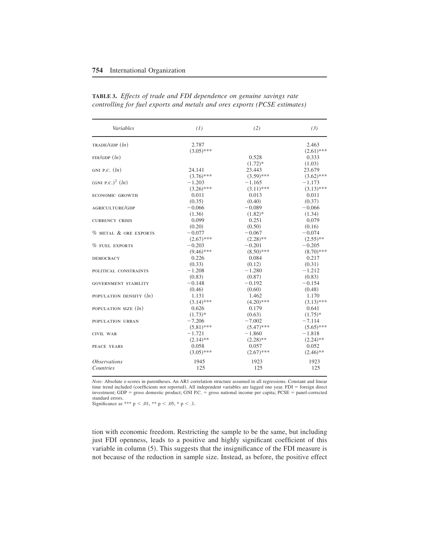| Variables                      | (1)          | (2)          | (3)          |
|--------------------------------|--------------|--------------|--------------|
| TRADE/GDP (ln)                 | 2.787        |              | 2.463        |
|                                | $(3.05)$ *** |              | $(2.61)$ *** |
| FDI/GDP(h)                     |              | 0.528        | 0.333        |
|                                |              | $(1.72)*$    | (1.03)       |
| GNI P.C. $(ln)$                | 24.141       | 23.443       | 23.679       |
|                                | $(3.76)$ *** | $(3.59)$ *** | $(3.62)$ *** |
| (GNI P.C.) <sup>2</sup> $(ln)$ | $-1.203$     | $-1.165$     | $-1.173$     |
|                                | $(3.26)$ *** | $(3.11)$ *** | $(3.13)$ *** |
| <b>ECONOMIC GROWTH</b>         | 0.011        | 0.013        | 0.011        |
|                                | (0.35)       | (0.40)       | (0.37)       |
| AGRICULTURE/GDP                | $-0.066$     | $-0.089$     | $-0.066$     |
|                                | (1.36)       | $(1.82)*$    | (1.34)       |
| <b>CURRENCY CRISIS</b>         | 0.099        | 0.251        | 0.079        |
|                                | (0.20)       | (0.50)       | (0.16)       |
| % METAL & ORE EXPORTS          | $-0.077$     | $-0.067$     | $-0.074$     |
|                                | $(2.67)$ *** | $(2.28)$ **  | $(2.55)$ **  |
| <b>% FUEL EXPORTS</b>          | $-0.203$     | $-0.201$     | $-0.205$     |
|                                | $(9.46)$ *** | $(8.50)$ *** | $(8.70)$ *** |
| <b>DEMOCRACY</b>               | 0.226        | 0.084        | 0.217        |
|                                | (0.33)       | (0.12)       | (0.31)       |
| POLITICAL CONSTRAINTS          | $-1.208$     | $-1.280$     | $-1.212$     |
|                                | (0.83)       | (0.87)       | (0.83)       |
| <b>GOVERNMENT STABILITY</b>    | $-0.148$     | $-0.192$     | $-0.154$     |
|                                | (0.46)       | (0.60)       | (0.48)       |
| POPULATION DENSITY $(ln)$      | 1.131        | 1.462        | 1.170        |
|                                | $(3.14)$ *** | $(4.20)$ *** | $(3.13)$ *** |
| POPULATION SIZE $(ln)$         | 0.626        | 0.179        | 0.641        |
|                                | $(1.73)*$    | (0.63)       | $(1.75)*$    |
| POPULATION URBAN               | $-7.206$     | $-7.002$     | $-7.114$     |
|                                | $(5.81)$ *** | $(5.47)$ *** | $(5.65)$ *** |
| CIVIL WAR                      | $-1.721$     | $-1.860$     | $-1.818$     |
|                                | $(2.14)$ **  | $(2.28)$ **  | $(2.24)$ **  |
| PEACE YEARS                    | 0.058        | 0.057        | 0.052        |
|                                | $(3.05)$ *** | $(2.67)$ *** | $(2.46)$ **  |
| <i><b>Observations</b></i>     | 1945         | 1923         | 1923         |
| Countries                      | 125          | 125          | 125          |

**TABLE 3.** *Effects of trade and FDI dependence on genuine savings rate controlling for fuel exports and metals and ores exports (PCSE estimates)*

*Note:* Absolute z-scores in parentheses. An AR1 correlation structure assumed in all regressions. Constant and linear time trend included (coefficients not reported). All independent variables are lagged one year.  $FDI =$  foreign direct investment; GDP = gross domestic product; GNI P.C. = gross national income per capita; PCSE = panel-corrected standard errors.

Significance as \*\*\*  $p < .01$ , \*\*  $p < .05$ , \*  $p < .1$ .

tion with economic freedom. Restricting the sample to be the same, but including just FDI openness, leads to a positive and highly significant coefficient of this variable in column  $(5)$ . This suggests that the insignificance of the FDI measure is not because of the reduction in sample size. Instead, as before, the positive effect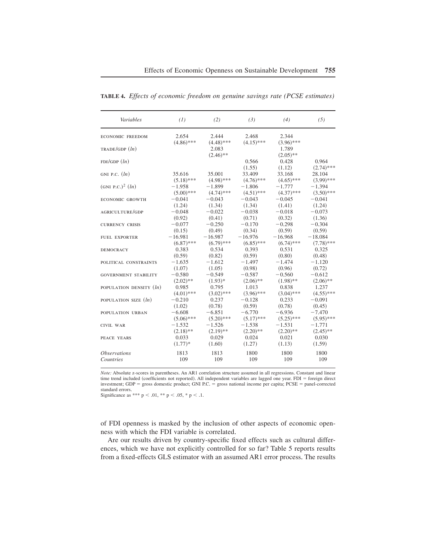| Variables                      | (1)          | (2)                                  | (3)             | (4)                                  | (5)                   |
|--------------------------------|--------------|--------------------------------------|-----------------|--------------------------------------|-----------------------|
| <b>ECONOMIC FREEDOM</b>        | 2.654        | 2.444                                | 2.468           | 2.344                                |                       |
| TRADE/GDP(h)                   | $(4.86)$ *** | $(4.48)$ ***<br>2.083<br>$(2.46)$ ** | $(4.15)$ ***    | $(3.96)$ ***<br>1.789<br>$(2.05)$ ** |                       |
| FDI/GDP(h)                     |              |                                      | 0.566<br>(1.55) | 0.428<br>(1.12)                      | 0.964<br>$(2.74)$ *** |
| GNI P.C. $(ln)$                | 35.616       | 35.001                               | 33.409          | 33.168                               | 28.104                |
|                                | $(5.18)$ *** | $(4.98)$ ***                         | $(4.76)$ ***    | $(4.65)$ ***                         | $(3.99)$ ***          |
| (GNI P.C.) <sup>2</sup> $(ln)$ | $-1.958$     | $-1.899$                             | $-1.806$        | $-1.777$                             | $-1.394$              |
|                                | $(5.00)$ *** | $(4.74)$ ***                         | $(4.51)$ ***    | $(4.37)$ ***                         | $(3.50)$ ***          |
| <b>ECONOMIC GROWTH</b>         | $-0.041$     | $-0.043$                             | $-0.043$        | $-0.045$                             | $-0.041$              |
|                                | (1.24)       | (1.34)                               | (1.34)          | (1.41)                               | (1.24)                |
| AGRICULTURE/GDP                | $-0.048$     | $-0.022$                             | $-0.038$        | $-0.018$                             | $-0.073$              |
|                                | (0.92)       | (0.41)                               | (0.71)          | (0.32)                               | (1.36)                |
| <b>CURRENCY CRISIS</b>         | $-0.077$     | $-0.250$                             | $-0.170$        | $-0.298$                             | $-0.304$              |
|                                | (0.15)       | (0.49)                               | (0.34)          | (0.59)                               | (0.59)                |
| <b>FUEL EXPORTER</b>           | $-16.981$    | $-16.987$                            | $-16.976$       | $-16.968$                            | $-18.084$             |
|                                | $(6.87)$ *** | $(6.79)$ ***                         | $(6.85)$ ***    | $(6.74)$ ***                         | $(7.78)$ ***          |
| <b>DEMOCRACY</b>               | 0.383        | 0.534                                | 0.393           | 0.531                                | 0.325                 |
|                                | (0.59)       | (0.82)                               | (0.59)          | (0.80)                               | (0.48)                |
| POLITICAL CONSTRAINTS          | $-1.635$     | $-1.612$                             | $-1.497$        | $-1.474$                             | $-1.120$              |
|                                | (1.07)       | (1.05)                               | (0.98)          | (0.96)                               | (0.72)                |
| <b>GOVERNMENT STABILITY</b>    | $-0.580$     | $-0.549$                             | $-0.587$        | $-0.560$                             | $-0.612$              |
|                                | $(2.02)$ **  | $(1.93)*$                            | $(2.06)$ **     | $(1.98)$ **                          | $(2.06)$ **           |
| POPULATION DENSITY $(ln)$      | 0.985        | 0.795                                | 1.013           | 0.838                                | 1.237                 |
|                                | $(4.01)$ *** | $(3.02)$ ***                         | $(3.96)$ ***    | $(3.04)$ ***                         | $(4.55)$ ***          |
| POPULATION SIZE $(ln)$         | $-0.210$     | 0.237                                | $-0.128$        | 0.233                                | $-0.091$              |
|                                | (1.02)       | (0.78)                               | (0.59)          | (0.78)                               | (0.45)                |
| POPULATION URBAN               | $-6.608$     | $-6.851$                             | $-6.770$        | $-6.936$                             | $-7.470$              |
|                                | $(5.06)$ *** | $(5.20)$ ***                         | $(5.17)$ ***    | $(5.25)$ ***                         | $(5.95)$ ***          |
| <b>CIVIL WAR</b>               | $-1.532$     | $-1.526$                             | $-1.538$        | $-1.531$                             | $-1.771$              |
|                                | $(2.18)$ **  | $(2.19)$ **                          | $(2.20)$ **     | $(2.20)$ **                          | $(2.45)$ **           |
| PEACE YEARS                    | 0.033        | 0.029                                | 0.024           | 0.021                                | 0.030                 |
|                                | $(1.77)*$    | (1.60)                               | (1.27)          | (1.13)                               | (1.59)                |
| <i><b>Observations</b></i>     | 1813         | 1813                                 | 1800            | 1800                                 | 1800                  |
| Countries                      | 109          | 109                                  | 109             | 109                                  | 109                   |

**TABLE 4.** *Effects of economic freedom on genuine savings rate (PCSE estimates)*

*Note:* Absolute z-scores in parentheses. An AR1 correlation structure assumed in all regressions. Constant and linear time trend included (coefficients not reported). All independent variables are lagged one year,  $FDI =$  foreign direct investment; GDP = gross domestic product; GNI P.C. = gross national income per capita; PCSE = panel-corrected standard errors.

Significance as \*\*\*  $p < .01$ , \*\*  $p < .05$ , \*  $p < .1$ .

of FDI openness is masked by the inclusion of other aspects of economic openness with which the FDI variable is correlated.

Are our results driven by country-specific fixed effects such as cultural differences, which we have not explicitly controlled for so far? Table 5 reports results from a fixed-effects GLS estimator with an assumed AR1 error process. The results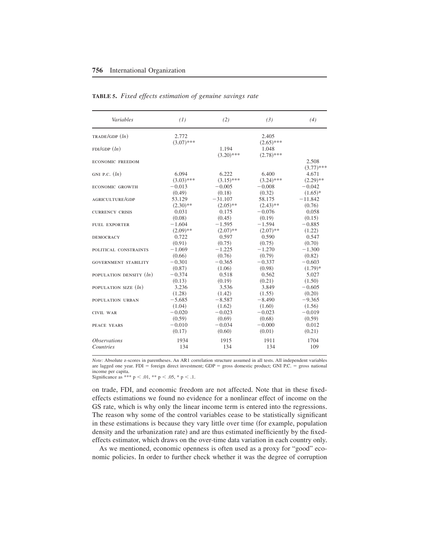| Variables                   | (1)          | (2)          | (3)          | (4)          |
|-----------------------------|--------------|--------------|--------------|--------------|
| TRADE/GDP (ln)              | 2.772        |              | 2.405        |              |
|                             | $(3.07)$ *** |              | $(2.65)$ *** |              |
| FDI/GDP(ln)                 |              | 1.194        | 1.048        |              |
|                             |              | $(3.20)$ *** | $(2.78)$ *** |              |
| <b>ECONOMIC FREEDOM</b>     |              |              |              | 2.508        |
|                             |              |              |              | $(3.77)$ *** |
| GNI P.C. $(ln)$             | 6.094        | 6.222        | 6.400        | 4.671        |
|                             | $(3.03)$ *** | $(3.15)$ *** | $(3.24)$ *** | $(2.29)$ **  |
| <b>ECONOMIC GROWTH</b>      | $-0.013$     | $-0.005$     | $-0.008$     | $-0.042$     |
|                             | (0.49)       | (0.18)       | (0.32)       | $(1.65)*$    |
| <b>AGRICULTURE/GDP</b>      | 53.129       | $-31.107$    | 58.175       | $-11.842$    |
|                             | $(2.30)$ **  | $(2.05)$ **  | $(2.43)$ **  | (0.76)       |
| <b>CURRENCY CRISIS</b>      | 0.031        | 0.175        | $-0.076$     | 0.058        |
|                             | (0.08)       | (0.45)       | (0.19)       | (0.15)       |
| <b>FUEL EXPORTER</b>        | $-1.604$     | $-1.595$     | $-1.594$     | $-0.885$     |
|                             | $(2.09)$ **  | $(2.07)$ **  | $(2.07)$ **  | (1.22)       |
| <b>DEMOCRACY</b>            | 0.722        | 0.597        | 0.590        | 0.547        |
|                             | (0.91)       | (0.75)       | (0.75)       | (0.70)       |
| POLITICAL CONSTRAINTS       | $-1.069$     | $-1.225$     | $-1.270$     | $-1.300$     |
|                             | (0.66)       | (0.76)       | (0.79)       | (0.82)       |
| <b>GOVERNMENT STABILITY</b> | $-0.301$     | $-0.365$     | $-0.337$     | $-0.603$     |
|                             | (0.87)       | (1.06)       | (0.98)       | $(1.79)*$    |
| POPULATION DENSITY $(ln)$   | $-0.374$     | 0.518        | 0.562        | 5.027        |
|                             | (0.13)       | (0.19)       | (0.21)       | (1.50)       |
| POPULATION SIZE $(ln)$      | 3.236        | 3.536        | 3.849        | $-0.605$     |
|                             | (1.28)       | (1.42)       | (1.55)       | (0.20)       |
| POPULATION URBAN            | $-5.685$     | $-8.587$     | $-8.490$     | $-9.365$     |
|                             | (1.04)       | (1.62)       | (1.60)       | (1.56)       |
| <b>CIVIL WAR</b>            | $-0.020$     | $-0.023$     | $-0.023$     | $-0.019$     |
|                             | (0.59)       | (0.69)       | (0.68)       | (0.59)       |
| PEACE YEARS                 | $-0.010$     | $-0.034$     | $-0.000$     | 0.012        |
|                             | (0.17)       | (0.60)       | (0.01)       | (0.21)       |
| <i><b>Observations</b></i>  | 1934         | 1915         | 1911         | 1704         |
| <b>Countries</b>            | 134          | 134          | 134          | 109          |
|                             |              |              |              |              |

#### **TABLE 5.** *Fixed effects estimation of genuine savings rate*

*Note:* Absolute z-scores in parentheses. An AR1 correlation structure assumed in all tests. All independent variables are lagged one year.  $FDI =$  foreign direct investment;  $GDP =$  gross domestic product;  $GNI$  P.C. = gross national income per capita.

Significance as \*\*\*  $p < .01$ , \*\*  $p < .05$ , \*  $p < .1$ .

on trade, FDI, and economic freedom are not affected+ Note that in these fixedeffects estimations we found no evidence for a nonlinear effect of income on the GS rate, which is why only the linear income term is entered into the regressions. The reason why some of the control variables cease to be statistically significant in these estimations is because they vary little over time (for example, population density and the urbanization rate) and are thus estimated inefficiently by the fixedeffects estimator, which draws on the over-time data variation in each country only+

As we mentioned, economic openness is often used as a proxy for "good" economic policies. In order to further check whether it was the degree of corruption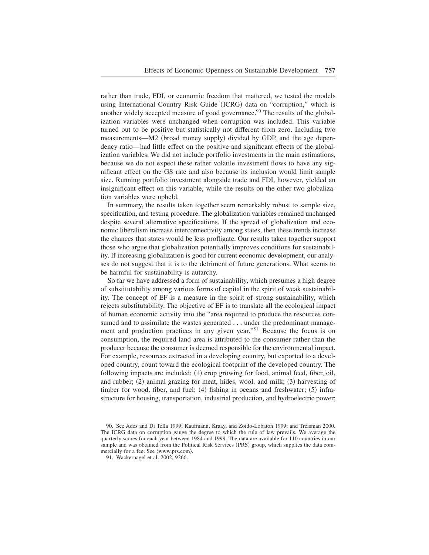rather than trade, FDI, or economic freedom that mattered, we tested the models using International Country Risk Guide (ICRG) data on "corruption," which is another widely accepted measure of good governance.<sup>90</sup> The results of the globalization variables were unchanged when corruption was included. This variable turned out to be positive but statistically not different from zero. Including two measurements—M2 (broad money supply) divided by GDP, and the age dependency ratio—had little effect on the positive and significant effects of the globalization variables. We did not include portfolio investments in the main estimations, because we do not expect these rather volatile investment flows to have any significant effect on the GS rate and also because its inclusion would limit sample size. Running portfolio investment alongside trade and FDI, however, yielded an insignificant effect on this variable, while the results on the other two globalization variables were upheld.

In summary, the results taken together seem remarkably robust to sample size, specification, and testing procedure. The globalization variables remained unchanged despite several alternative specifications. If the spread of globalization and economic liberalism increase interconnectivity among states, then these trends increase the chances that states would be less profligate. Our results taken together support those who argue that globalization potentially improves conditions for sustainability. If increasing globalization is good for current economic development, our analyses do not suggest that it is to the detriment of future generations. What seems to be harmful for sustainability is autarchy.

So far we have addressed a form of sustainability, which presumes a high degree of substitutability among various forms of capital in the spirit of weak sustainability. The concept of EF is a measure in the spirit of strong sustainability, which rejects substitutability. The objective of EF is to translate all the ecological impact of human economic activity into the "area required to produce the resources consumed and to assimilate the wastes generated . . . under the predominant management and production practices in any given year."<sup>91</sup> Because the focus is on consumption, the required land area is attributed to the consumer rather than the producer because the consumer is deemed responsible for the environmental impact. For example, resources extracted in a developing country, but exported to a developed country, count toward the ecological footprint of the developed country. The following impacts are included:  $(1)$  crop growing for food, animal feed, fiber, oil, and rubber;  $(2)$  animal grazing for meat, hides, wool, and milk;  $(3)$  harvesting of timber for wood, fiber, and fuel;  $(4)$  fishing in oceans and freshwater;  $(5)$  infrastructure for housing, transportation, industrial production, and hydroelectric power;

<sup>90.</sup> See Ades and Di Tella 1999; Kaufmann, Kraay, and Zoido-Lobaton 1999; and Treisman 2000. The ICRG data on corruption gauge the degree to which the rule of law prevails. We average the quarterly scores for each year between 1984 and 1999. The data are available for 110 countries in our sample and was obtained from the Political Risk Services (PRS) group, which supplies the data commercially for a fee. See  $\langle www.prs.com \rangle$ .

<sup>91.</sup> Wackernagel et al. 2002, 9266.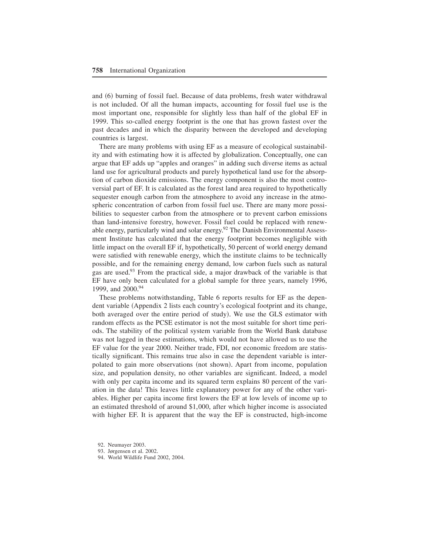and (6) burning of fossil fuel. Because of data problems, fresh water withdrawal is not included. Of all the human impacts, accounting for fossil fuel use is the most important one, responsible for slightly less than half of the global EF in 1999. This so-called energy footprint is the one that has grown fastest over the past decades and in which the disparity between the developed and developing countries is largest.

There are many problems with using EF as a measure of ecological sustainability and with estimating how it is affected by globalization. Conceptually, one can argue that EF adds up "apples and oranges" in adding such diverse items as actual land use for agricultural products and purely hypothetical land use for the absorption of carbon dioxide emissions. The energy component is also the most controversial part of EF. It is calculated as the forest land area required to hypothetically sequester enough carbon from the atmosphere to avoid any increase in the atmospheric concentration of carbon from fossil fuel use. There are many more possibilities to sequester carbon from the atmosphere or to prevent carbon emissions than land-intensive forestry, however. Fossil fuel could be replaced with renewable energy, particularly wind and solar energy.<sup>92</sup> The Danish Environmental Assessment Institute has calculated that the energy footprint becomes negligible with little impact on the overall EF if, hypothetically, 50 percent of world energy demand were satisfied with renewable energy, which the institute claims to be technically possible, and for the remaining energy demand, low carbon fuels such as natural gas are used.<sup>93</sup> From the practical side, a major drawback of the variable is that EF have only been calculated for a global sample for three years, namely 1996, 1999, and 2000.<sup>94</sup>

These problems notwithstanding, Table 6 reports results for EF as the dependent variable (Appendix 2 lists each country's ecological footprint and its change, both averaged over the entire period of study). We use the GLS estimator with random effects as the PCSE estimator is not the most suitable for short time periods+ The stability of the political system variable from the World Bank database was not lagged in these estimations, which would not have allowed us to use the EF value for the year 2000. Neither trade, FDI, nor economic freedom are statistically significant. This remains true also in case the dependent variable is interpolated to gain more observations (not shown). Apart from income, population size, and population density, no other variables are significant. Indeed, a model with only per capita income and its squared term explains 80 percent of the variation in the data! This leaves little explanatory power for any of the other variables+ Higher per capita income first lowers the EF at low levels of income up to an estimated threshold of around \$1,000, after which higher income is associated with higher EF. It is apparent that the way the EF is constructed, high-income

<sup>92.</sup> Neumayer 2003.

<sup>93.</sup> Jørgensen et al. 2002.

<sup>94.</sup> World Wildlife Fund 2002, 2004.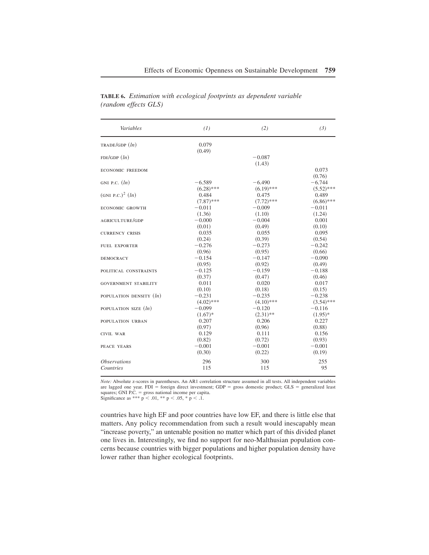| Variables                      | (1)                 | (2)                     | (3)                |
|--------------------------------|---------------------|-------------------------|--------------------|
| TRADE/GDP(h)                   | 0.079               |                         |                    |
|                                | (0.49)              |                         |                    |
| FDI/GDP(h)                     |                     | $-0.087$                |                    |
|                                |                     | (1.43)                  |                    |
| <b>ECONOMIC FREEDOM</b>        |                     |                         | 0.073              |
|                                |                     |                         | (0.76)             |
| GNI P.C. $(ln)$                | $-6.589$            | $-6.490$                | $-6.744$           |
|                                | $(6.28)$ ***        | $(6.19)$ ***            | $(5.52)$ ***       |
| (GNI P.C.) <sup>2</sup> $(ln)$ | 0.484               | 0.475                   | 0.489              |
|                                | $(7.87)$ ***        | $(7.72)$ ***            | $(6.86)$ ***       |
| <b>ECONOMIC GROWTH</b>         | $-0.011$            | $-0.009$                | $-0.011$           |
|                                | (1.36)              | (1.10)                  | (1.24)             |
| AGRICULTURE/GDP                | $-0.000$            | $-0.004$                | 0.001              |
|                                | (0.01)<br>0.035     | (0.49)<br>0.055         | (0.10)             |
| <b>CURRENCY CRISIS</b>         |                     |                         | 0.095              |
|                                | (0.24)<br>$-0.276$  | (0.39)<br>$-0.273$      | (0.54)<br>$-0.242$ |
| <b>FUEL EXPORTER</b>           |                     |                         |                    |
|                                | (0.96)<br>$-0.154$  | (0.95)<br>$-0.147$      | (0.66)<br>$-0.090$ |
| <b>DEMOCRACY</b>               | (0.95)              | (0.92)                  |                    |
|                                | $-0.125$            | $-0.159$                | (0.49)<br>$-0.188$ |
| POLITICAL CONSTRAINTS          |                     |                         |                    |
|                                | (0.37)              | (0.47)<br>0.020         | (0.46)             |
| <b>GOVERNMENT STABILITY</b>    | 0.011               |                         | 0.017              |
|                                | (0.10)              | (0.18)                  | (0.15)             |
| POPULATION DENSITY $(ln)$      | $-0.231$            | $-0.235$                | $-0.238$           |
|                                | $(4.02)$ ***        | $(4.10)$ ***            | $(3.54)$ ***       |
| POPULATION SIZE $(ln)$         | $-0.099$            | $-0.120$<br>$(2.31)$ ** | $-0.116$           |
|                                | $(1.67)^*$<br>0.207 |                         | $(1.95)*$<br>0.227 |
| POPULATION URBAN               |                     | 0.206                   |                    |
|                                | (0.97)<br>0.129     | (0.96)<br>0.111         | (0.88)             |
| <b>CIVIL WAR</b>               | (0.82)              | (0.72)                  | 0.156<br>(0.93)    |
| <b>PEACE YEARS</b>             | $-0.001$            | $-0.001$                | $-0.001$           |
|                                | (0.30)              | (0.22)                  | (0.19)             |
|                                |                     |                         |                    |
| <i><b>Observations</b></i>     | 296                 | 300                     | 255                |
| <b>Countries</b>               | 115                 | 115                     | 95                 |

**TABLE 6.** *Estimation with ecological footprints as dependent variable (random effects GLS)*

*Note:* Absolute z-scores in parentheses. An AR1 correlation structure assumed in all tests. All independent variables are lagged one year.  $FDI =$  foreign direct investment;  $GDP =$  gross domestic product;  $GLS =$  generalized least squares; GNI P.C.  $=$  gross national income per capita. Significance as \*\*\*  $p < .01$ , \*\*  $p < .05$ , \*  $p < .1$ .

countries have high EF and poor countries have low EF, and there is little else that matters. Any policy recommendation from such a result would inescapably mean "increase poverty," an untenable position no matter which part of this divided planet one lives in. Interestingly, we find no support for neo-Malthusian population concerns because countries with bigger populations and higher population density have lower rather than higher ecological footprints.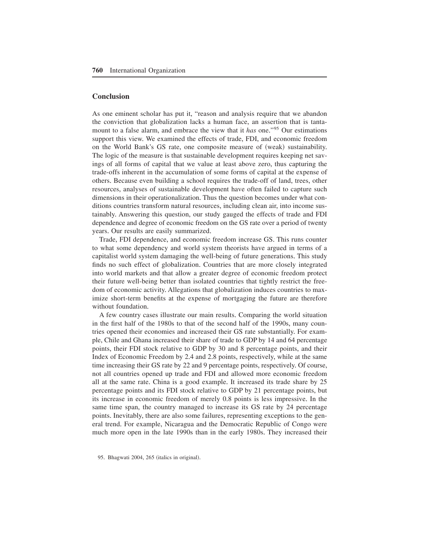#### **Conclusion**

As one eminent scholar has put it, "reason and analysis require that we abandon the conviction that globalization lacks a human face, an assertion that is tantamount to a false alarm, and embrace the view that it *has* one."<sup>95</sup> Our estimations support this view. We examined the effects of trade, FDI, and economic freedom on the World Bank's GS rate, one composite measure of (weak) sustainability. The logic of the measure is that sustainable development requires keeping net savings of all forms of capital that we value at least above zero, thus capturing the trade-offs inherent in the accumulation of some forms of capital at the expense of others+ Because even building a school requires the trade-off of land, trees, other resources, analyses of sustainable development have often failed to capture such dimensions in their operationalization. Thus the question becomes under what conditions countries transform natural resources, including clean air, into income sustainably+ Answering this question, our study gauged the effects of trade and FDI dependence and degree of economic freedom on the GS rate over a period of twenty years. Our results are easily summarized.

Trade, FDI dependence, and economic freedom increase GS. This runs counter to what some dependency and world system theorists have argued in terms of a capitalist world system damaging the well-being of future generations. This study finds no such effect of globalization. Countries that are more closely integrated into world markets and that allow a greater degree of economic freedom protect their future well-being better than isolated countries that tightly restrict the freedom of economic activity. Allegations that globalization induces countries to maximize short-term benefits at the expense of mortgaging the future are therefore without foundation.

A few country cases illustrate our main results. Comparing the world situation in the first half of the 1980s to that of the second half of the 1990s, many countries opened their economies and increased their GS rate substantially. For example, Chile and Ghana increased their share of trade to GDP by 14 and 64 percentage points, their FDI stock relative to GDP by 30 and 8 percentage points, and their Index of Economic Freedom by 2.4 and 2.8 points, respectively, while at the same time increasing their GS rate by 22 and 9 percentage points, respectively. Of course, not all countries opened up trade and FDI and allowed more economic freedom all at the same rate. China is a good example. It increased its trade share by  $25$ percentage points and its FDI stock relative to GDP by 21 percentage points, but its increase in economic freedom of merely 0.8 points is less impressive. In the same time span, the country managed to increase its GS rate by 24 percentage points. Inevitably, there are also some failures, representing exceptions to the general trend. For example, Nicaragua and the Democratic Republic of Congo were much more open in the late 1990s than in the early 1980s. They increased their

<sup>95.</sup> Bhagwati 2004, 265 (italics in original).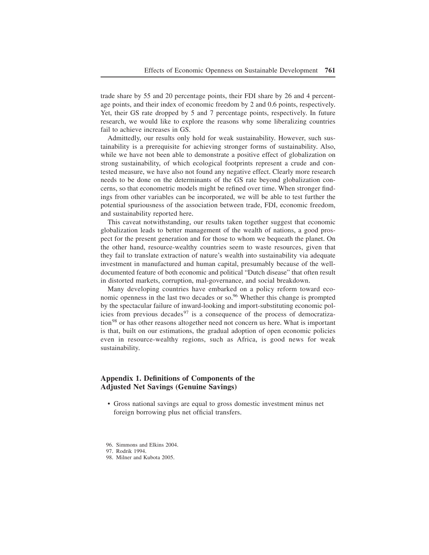trade share by 55 and 20 percentage points, their FDI share by 26 and 4 percentage points, and their index of economic freedom by  $2$  and  $0.6$  points, respectively. Yet, their GS rate dropped by 5 and 7 percentage points, respectively. In future research, we would like to explore the reasons why some liberalizing countries fail to achieve increases in GS.

Admittedly, our results only hold for weak sustainability. However, such sustainability is a prerequisite for achieving stronger forms of sustainability+ Also, while we have not been able to demonstrate a positive effect of globalization on strong sustainability, of which ecological footprints represent a crude and contested measure, we have also not found any negative effect. Clearly more research needs to be done on the determinants of the GS rate beyond globalization concerns, so that econometric models might be refined over time+ When stronger findings from other variables can be incorporated, we will be able to test further the potential spuriousness of the association between trade, FDI, economic freedom, and sustainability reported here.

This caveat notwithstanding, our results taken together suggest that economic globalization leads to better management of the wealth of nations, a good prospect for the present generation and for those to whom we bequeath the planet. On the other hand, resource-wealthy countries seem to waste resources, given that they fail to translate extraction of nature's wealth into sustainability via adequate investment in manufactured and human capital, presumably because of the welldocumented feature of both economic and political "Dutch disease" that often result in distorted markets, corruption, mal-governance, and social breakdown.

Many developing countries have embarked on a policy reform toward economic openness in the last two decades or so.<sup>96</sup> Whether this change is prompted by the spectacular failure of inward-looking and import-substituting economic policies from previous decades<sup>97</sup> is a consequence of the process of democratiza- $\frac{1}{100}$  or has other reasons altogether need not concern us here. What is important is that, built on our estimations, the gradual adoption of open economic policies even in resource-wealthy regions, such as Africa, is good news for weak sustainability.

### **Appendix 1. Definitions of Components of the Adjusted Net Savings (Genuine Savings)**

• Gross national savings are equal to gross domestic investment minus net foreign borrowing plus net official transfers.

96. Simmons and Elkins 2004.

98. Milner and Kubota 2005.

<sup>97.</sup> Rodrik 1994.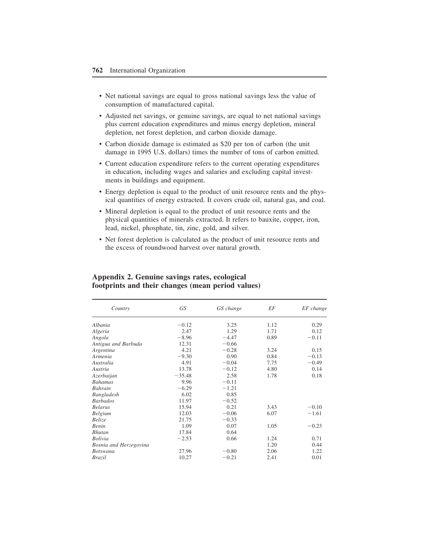- Net national savings are equal to gross national savings less the value of consumption of manufactured capital.
- Adjusted net savings, or genuine savings, are equal to net national savings plus current education expenditures and minus energy depletion, mineral depletion, net forest depletion, and carbon dioxide damage.
- Carbon dioxide damage is estimated as \$20 per ton of carbon (the unit damage in 1995 U.S. dollars) times the number of tons of carbon emitted.
- Current education expenditure refers to the current operating expenditures in education, including wages and salaries and excluding capital investments in buildings and equipment.
- Energy depletion is equal to the product of unit resource rents and the physical quantities of energy extracted. It covers crude oil, natural gas, and coal.
- Mineral depletion is equal to the product of unit resource rents and the physical quantities of minerals extracted+ It refers to bauxite, copper, iron, lead, nickel, phosphate, tin, zinc, gold, and silver.
- Net forest depletion is calculated as the product of unit resource rents and the excess of roundwood harvest over natural growth.

| Country                | GS       | GS change | EF   | EF change |
|------------------------|----------|-----------|------|-----------|
| Albania                | $-0.12$  | 3.25      | 1.12 | 0.29      |
| Algeria                | 2.47     | 1.29      | 1.71 | 0.12      |
| Angola                 | $-8.96$  | $-4.47$   | 0.89 | $-0.11$   |
| Antigua and Barbuda    | 12.31    | $-0.66$   |      |           |
| Argentina              | 4.21     | $-0.28$   | 3.24 | 0.15      |
| Armenia                | $-9.30$  | 0.90      | 0.84 | $-0.13$   |
| Australia              | 4.91     | $-0.04$   | 7.75 | $-0.49$   |
| Austria                | 13.78    | $-0.12$   | 4.80 | 0.14      |
| Azerbaijan             | $-35.48$ | 2.58      | 1.78 | 0.18      |
| <b>Bahamas</b>         | 9.96     | $-0.11$   |      |           |
| <b>Bahrain</b>         | $-6.29$  | $-1.21$   |      |           |
| Bangladesh             | 6.02     | 0.85      |      |           |
| <b>Barbados</b>        | 11.97    | $-0.52$   |      |           |
| <b>Belarus</b>         | 15.94    | 0.21      | 3.43 | $-0.10$   |
| <b>Belgium</b>         | 12.03    | $-0.06$   | 6.07 | $-1.61$   |
| <i>Belize</i>          | 21.75    | $-0.33$   |      |           |
| <b>Benin</b>           | 1.09     | 0.07      | 1.05 | $-0.23$   |
| <b>Bhutan</b>          | 17.84    | 0.64      |      |           |
| <b>Bolivia</b>         | $-2.53$  | 0.66      | 1.24 | 0.71      |
| Bosnia and Herzegovina |          |           | 1.20 | 0.44      |
| <b>Botswana</b>        | 27.96    | $-0.80$   | 2.06 | 1.22      |
| <b>Brazil</b>          | 10.27    | $-0.21$   | 2.41 | 0.01      |

## **Appendix 2. Genuine savings rates, ecological footprints and their changes (mean period values)**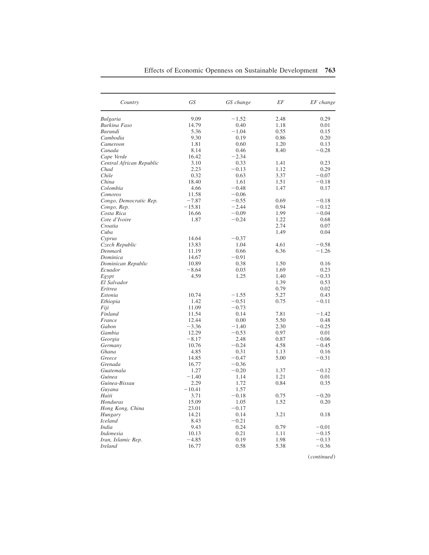| Country                  | GS       | GS change | EF   | EF change |
|--------------------------|----------|-----------|------|-----------|
| <b>Bulgaria</b>          | 9.09     | $-1.52$   | 2.48 | 0.29      |
| Burkina Faso             | 14.79    | 0.40      | 1.18 | 0.01      |
| Burundi                  | 5.36     | $-1.04$   | 0.55 | 0.15      |
| Cambodia                 | 9.30     | 0.19      | 0.86 | 0.20      |
| Cameroon                 | 1.81     | 0.60      | 1.20 | 0.13      |
| Canada                   | 8.14     | 0.46      | 8.40 | $-0.28$   |
| Cape Verde               | 16.42    | $-2.34$   |      |           |
| Central African Republic | 3.10     | 0.33      | 1.41 | 0.23      |
| Chad                     | 2.23     | $-0.13$   | 1.12 | 0.29      |
| Chile                    | 0.32     | 0.63      | 3.37 | $-0.07$   |
| China                    | 18.40    | 1.61      | 1.51 | $-0.18$   |
| Colombia                 | 4.66     | $-0.48$   | 1.47 | 0.17      |
| Comoros                  | 11.58    | $-0.06$   |      |           |
| Congo, Democratic Rep.   | $-7.87$  | $-0.55$   | 0.69 | $-0.18$   |
| Congo, Rep.              | $-15.81$ | $-2.44$   | 0.94 | $-0.12$   |
| Costa Rica               | 16.66    | $-0.09$   | 1.99 | $-0.04$   |
| Cote d'Ivoire            | 1.87     | $-0.24$   | 1.22 | 0.68      |
| Croatia                  |          |           | 2.74 | 0.07      |
| Cuba                     |          |           | 1.49 | 0.04      |
| Cyprus                   | 14.64    | $-0.37$   |      |           |
| Czech Republic           | 13.83    | 1.04      | 4.61 | $-0.58$   |
| Denmark                  | 11.19    | 0.66      | 6.36 | $-1.26$   |
| Dominica                 | 14.67    | $-0.91$   |      |           |
| Dominican Republic       | 10.89    | 0.38      | 1.50 | 0.16      |
| Ecuador                  | $-8.64$  | 0.03      | 1.69 | 0.23      |
| Egypt                    | 4.59     | 1.25      | 1.40 | $-0.33$   |
| El Salvador              |          |           | 1.39 | 0.53      |
| Eritrea                  |          |           | 0.79 | 0.02      |
| Estonia                  | 10.74    | $-1.55$   | 5.27 | 0.43      |
| Ethiopia                 | 1.42     | $-0.51$   | 0.75 | $-0.11$   |
| Fiji                     | 11.09    | $-0.73$   |      |           |
| Finland                  | 11.54    | 0.14      | 7.81 | $-1.42$   |
| France                   | 12.44    | 0.00      | 5.50 | 0.48      |
| Gabon                    | $-3.36$  | $-1.40$   | 2.30 | $-0.25$   |
| Gambia                   | 12.29    | $-0.53$   | 0.97 | 0.01      |
|                          | $-8.17$  |           | 0.87 | $-0.06$   |
| Georgia                  |          | 2.48      |      | $-0.45$   |
| Germany                  | 10.76    | $-0.24$   | 4.58 |           |
| Ghana                    | 4.85     | 0.31      | 1.13 | 0.16      |
| Greece                   | 14.85    | $-0.47$   | 5.00 | $-0.31$   |
| Grenada                  | 16.77    | $-0.36$   |      |           |
| Guatemala                | 1.27     | $-0.20$   | 1.37 | $-0.12$   |
| Guinea                   | $-1.40$  | 1.14      | 1.21 | 0.01      |
| Guinea-Bissau            | 2.29     | 1.72      | 0.84 | 0.35      |
| Guyana                   | $-10.41$ | 1.57      |      |           |
| Haiti                    | 3.71     | $-0.18$   | 0.75 | $-0.20$   |
| Honduras                 | 15.09    | 1.05      | 1.52 | 0.20      |
| Hong Kong, China         | 23.01    | $-0.17$   |      |           |
| Hungary                  | 14.21    | 0.14      | 3.21 | 0.18      |

*Hungary* 14.21 0.14 3.21 0.18

*India* 9.43 0.24 0.79 -

*Indonesia* 10.13 0.21 1.11 -

*Ireland* 16.77 0.58 5.38 -

 $-0.21$ <br>0.24

0.19 1.98<br>0.58 5.38

*Iceland* 8.43 -

*Iran, Islamic Rep.*  $-4.85$ <br>*Ireland*  $16.77$ 

 $-0.36$ ~*continued*!

 $-0.01$ 

 $-0.15$ 

 $-0.13$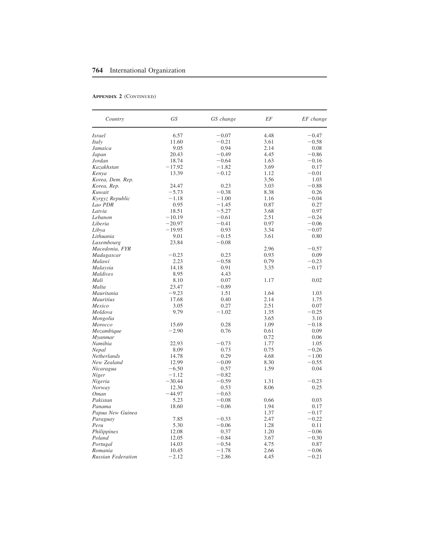#### **Appendix 2** (Continued)

| Country                   | GS       | GS change | EF   | EF change |
|---------------------------|----------|-----------|------|-----------|
| <i>Israel</i>             | 6.57     | $-0.07$   | 4.48 | $-0.47$   |
| Italy                     | 11.60    | $-0.21$   | 3.61 | $-0.58$   |
| Jamaica                   | 9.05     | 0.94      | 2.14 | 0.08      |
| Japan                     | 20.43    | $-0.49$   | 4.45 | $-0.86$   |
| Jordan                    | 18.74    | $-0.64$   | 1.63 | $-0.16$   |
| Kazakhstan                | $-17.92$ | $-1.82$   | 3.69 | 0.17      |
| Kenya                     | 13.39    | $-0.12$   | 1.12 | $-0.01$   |
| Korea, Dem. Rep.          |          |           | 3.56 | 1.03      |
| Korea, Rep.               | 24.47    | 0.23      | 3.03 | $-0.88$   |
| Kuwait                    | $-5.73$  | $-0.38$   | 8.38 | 0.26      |
| Kyrgyz Republic           | $-1.18$  | $-1.00$   | 1.16 | $-0.04$   |
| Lao PDR                   | 0.95     | $-1.45$   | 0.87 | 0.27      |
| Latvia                    | 18.51    | $-5.27$   | 3.68 | 0.97      |
| Lebanon                   | $-10.19$ | $-0.61$   | 2.51 | $-0.24$   |
| Liberia                   | $-20.97$ | $-0.41$   | 0.97 | $-0.06$   |
| Libya                     | $-19.95$ | 0.93      | 3.34 | $-0.07$   |
| Lithuania                 | 9.01     | $-0.15$   | 3.61 | 0.80      |
| Luxembourg                | 23.84    | $-0.08$   |      |           |
| Macedonia, FYR            |          |           | 2.96 | $-0.57$   |
| Madagascar                | $-0.23$  | 0.23      | 0.93 | 0.09      |
| Malawi                    | 2.23     | $-0.58$   | 0.79 | $-0.23$   |
| Malaysia                  | 14.18    | 0.91      | 3.35 | $-0.17$   |
| Maldives                  | 8.95     | 4.43      |      |           |
| Mali                      | 8.10     | 0.07      | 1.17 | 0.02      |
| Malta                     | 23.47    | $-0.89$   |      |           |
| Mauritania                | $-9.23$  | 1.51      | 1.64 | 1.03      |
|                           |          |           | 2.14 | 1.75      |
| <b>Mauritius</b>          | 17.68    | 0.40      |      |           |
| Mexico                    | 3.05     | 0.27      | 2.51 | 0.07      |
| Moldova                   | 9.79     | $-1.02$   | 1.35 | $-0.25$   |
| Mongolia                  |          |           | 3.65 | 3.10      |
| Morocco                   | 15.69    | 0.28      | 1.09 | $-0.18$   |
| Mozambique                | $-2.90$  | 0.76      | 0.61 | 0.09      |
| Myanmar                   |          |           | 0.72 | 0.06      |
| Namibia                   | 22.93    | $-0.73$   | 1.77 | 1.05      |
| Nepal                     | 8.09     | 0.73      | 0.75 | $-0.26$   |
| Netherlands               | 14.78    | 0.29      | 4.68 | $-1.00$   |
| New Zealand               | 12.99    | $-0.09$   | 8.30 | $-0.55$   |
| Nicaragua                 | $-6.50$  | 0.57      | 1.59 | 0.04      |
| Niger                     | $-1.12$  | $-0.82$   |      |           |
| Nigeria                   | $-30.44$ | $-0.59$   | 1.31 | $-0.23$   |
| Norway                    | 12.30    | 0.53      | 8.06 | 0.25      |
| <b>Oman</b>               | $-44.97$ | $-0.63$   |      |           |
| Pakistan                  | 5.23     | $-0.08$   | 0.66 | 0.03      |
| Panama                    | 18.60    | $-0.06$   | 1.94 | 0.17      |
| Papua New Guinea          |          |           | 1.37 | $-0.17$   |
| Paraguay                  | 7.85     | $-0.33$   | 2.47 | $-0.22$   |
| Peru                      | 5.30     | $-0.06$   | 1.28 | 0.11      |
| Philippines               | 12.08    | 0.37      | 1.20 | $-0.06$   |
| Poland                    | 12.05    | $-0.84$   | 3.67 | $-0.30$   |
| Portugal                  | 14.03    | $-0.54$   | 4.75 | 0.87      |
| Romania                   | 10.45    | $-1.78$   | 2.66 | $-0.06$   |
| <b>Russian Federation</b> | $-2.12$  | $-2.86$   | 4.45 | $-0.21$   |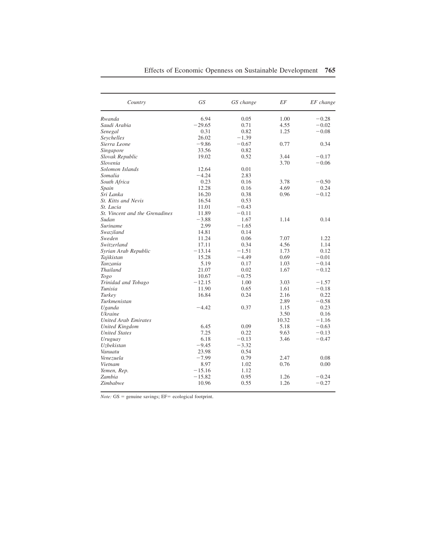| Country                        | GS       | GS change | EF    | EF change |
|--------------------------------|----------|-----------|-------|-----------|
| Rwanda                         | 6.94     | 0.05      | 1.00  | $-0.28$   |
| Saudi Arabia                   | $-29.65$ | 0.71      | 4.55  | $-0.02$   |
| Senegal                        | 0.31     | 0.82      | 1.25  | $-0.08$   |
| Seychelles                     | 26.02    | $-1.39$   |       |           |
| Sierra Leone                   | $-9.86$  | $-0.67$   | 0.77  | 0.34      |
| Singapore                      | 33.56    | 0.82      |       |           |
| Slovak Republic                | 19.02    | 0.52      | 3.44  | $-0.17$   |
| Slovenia                       |          |           | 3.70  | $-0.06$   |
| Solomon Islands                | 12.64    | 0.01      |       |           |
| Somalia                        | $-4.24$  | 2.83      |       |           |
| South Africa                   | 0.23     | 0.16      | 3.78  | $-0.50$   |
| Spain                          | 12.28    | 0.16      | 4.69  | 0.24      |
| Sri Lanka                      | 16.20    | 0.38      | 0.96  | $-0.12$   |
| St. Kitts and Nevis            | 16.54    | 0.53      |       |           |
| St. Lucia                      | 11.01    | $-0.43$   |       |           |
| St. Vincent and the Grenadines | 11.89    | $-0.11$   |       |           |
| Sudan                          | $-3.88$  | 1.67      | 1.14  | 0.14      |
| <b>Suriname</b>                | 2.99     | $-1.65$   |       |           |
| Swaziland                      | 14.81    | 0.14      |       |           |
| Sweden                         | 11.24    | 0.06      | 7.07  | 1.22      |
| Switzerland                    | 17.11    | 0.34      | 4.56  | 1.14      |
| Syrian Arab Republic           | $-13.14$ | $-1.51$   | 1.73  | 0.12      |
| Tajikistan                     | 15.28    | $-4.49$   | 0.69  | $-0.01$   |
| Tanzania                       | 5.19     | 0.17      | 1.03  | $-0.14$   |
| <b>Thailand</b>                | 21.07    | 0.02      | 1.67  | $-0.12$   |
| Togo                           | 10.67    | $-0.75$   |       |           |
| Trinidad and Tobago            | $-12.15$ | 1.00      | 3.03  | $-1.57$   |
| Tunisia                        | 11.90    | 0.65      | 1.61  | $-0.18$   |
| Turkey                         | 16.84    | 0.24      | 2.16  | 0.22      |
| Turkmenistan                   |          |           | 2.89  | $-0.58$   |
| Uganda                         | $-4.42$  | 0.37      | 1.15  | 0.23      |
| <b>Ukraine</b>                 |          |           | 3.50  | 0.16      |
| <b>United Arab Emirates</b>    |          |           | 10.32 | $-1.16$   |
| <b>United Kingdom</b>          | 6.45     | 0.09      | 5.18  | $-0.63$   |
| <b>United States</b>           | 7.25     | 0.22      | 9.63  | $-0.13$   |
| Uruguay                        | 6.18     | $-0.13$   | 3.46  | $-0.47$   |
| <b>Uzbekistan</b>              | $-9.45$  | $-3.32$   |       |           |
| Vanuatu                        | 23.98    | 0.54      |       |           |
| Venezuela                      | $-7.99$  | 0.79      | 2.47  | 0.08      |
| Vietnam                        | 8.97     | 1.02      | 0.76  | 0.00      |
| Yemen, Rep.                    | $-15.16$ | 1.12      |       |           |
| Zambia                         | $-15.82$ | 0.95      | 1.26  | $-0.24$   |
| Zimbabwe                       | 10.96    | 0.55      | 1.26  | $-0.27$   |

*Note:*  $GS =$  genuine savings;  $EF =$  ecological footprint.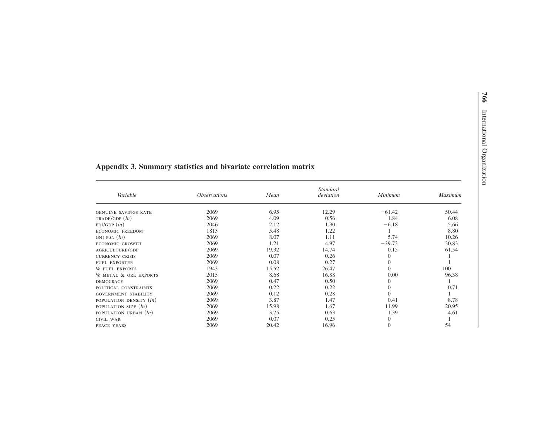| Variable                    | <i><b>Observations</b></i> | Mean  | Standard<br>deviation | Minimum  | <b>Maximum</b> |
|-----------------------------|----------------------------|-------|-----------------------|----------|----------------|
| <b>GENUINE SAVINGS RATE</b> | 2069                       | 6.95  | 12.29                 | $-61.42$ | 50.44          |
| TRADE/GDP(h)                | 2069                       | 4.09  | 0.56                  | 1.84     | 6.08           |
| FDI/GDP(h)                  | 2046                       | 2.12  | 1.30                  | $-6.18$  | 5.66           |
| <b>ECONOMIC FREEDOM</b>     | 1813                       | 5.48  | 1.22                  |          | 8.80           |
| GNI P.C. $(ln)$             | 2069                       | 8.07  | 1.11                  | 5.74     | 10.26          |
| <b>ECONOMIC GROWTH</b>      | 2069                       | 1.21  | 4.97                  | $-39.73$ | 30.83          |
| AGRICULTURE/GDP             | 2069                       | 19.32 | 14.74                 | 0.15     | 61.54          |
| <b>CURRENCY CRISIS</b>      | 2069                       | 0.07  | 0.26                  | $\Omega$ |                |
| <b>FUEL EXPORTER</b>        | 2069                       | 0.08  | 0.27                  | $\Omega$ |                |
| % FUEL EXPORTS              | 1943                       | 15.52 | 26.47                 | $\Omega$ | 100            |
| % METAL & ORE EXPORTS       | 2015                       | 8.68  | 16.88                 | 0.00     | 96.38          |
| <b>DEMOCRACY</b>            | 2069                       | 0.47  | 0.50                  | $\theta$ |                |
| POLITICAL CONSTRAINTS       | 2069                       | 0.22  | 0.22                  | $\Omega$ | 0.71           |
| <b>GOVERNMENT STABILITY</b> | 2069                       | 0.12  | 0.28                  | $\Omega$ |                |
| POPULATION DENSITY $(ln)$   | 2069                       | 3.87  | 1.47                  | 0.41     | 8.78           |
| POPULATION SIZE $(ln)$      | 2069                       | 15.98 | 1.67                  | 11.99    | 20.95          |
| POPULATION URBAN $(ln)$     | 2069                       | 3.75  | 0.63                  | 1.39     | 4.61           |
| <b>CIVIL WAR</b>            | 2069                       | 0.07  | 0.25                  | $\Omega$ |                |
| PEACE YEARS                 | 2069                       | 20.42 | 16.96                 | $\theta$ | 54             |

# **Appendix 3. Summary statistics and bivariate correlation matrix**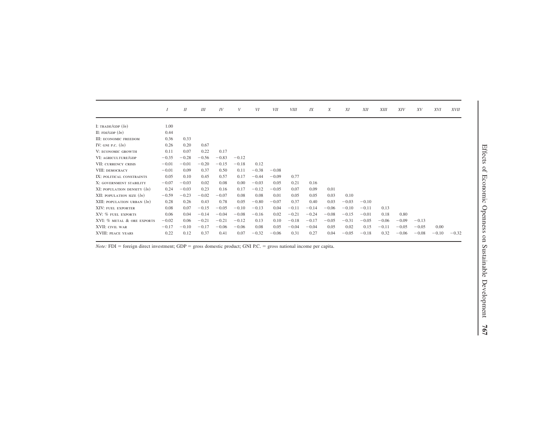|                               | $\overline{I}$ | II      | III     | IV      | V       | VI      | <b>VII</b> | <b>VIII</b> | IX      | X       | XI      | <b>XII</b> | XIII    | <b>XIV</b> | XV      | <i>XVI</i> | <i>XVII</i> |
|-------------------------------|----------------|---------|---------|---------|---------|---------|------------|-------------|---------|---------|---------|------------|---------|------------|---------|------------|-------------|
| I: TRADE/GDP $(ln)$           | 1.00           |         |         |         |         |         |            |             |         |         |         |            |         |            |         |            |             |
| II: $FDI/GDP(h)$              | 0.44           |         |         |         |         |         |            |             |         |         |         |            |         |            |         |            |             |
| III: ECONOMIC FREEDOM         | 0.36           | 0.33    |         |         |         |         |            |             |         |         |         |            |         |            |         |            |             |
| IV: GNI P.C. $(ln)$           | 0.26           | 0.20    | 0.67    |         |         |         |            |             |         |         |         |            |         |            |         |            |             |
| V: ECONOMIC GROWTH            | 0.11           | 0.07    | 0.22    | 0.17    |         |         |            |             |         |         |         |            |         |            |         |            |             |
| VI: AGRICULTURE/GDP           | $-0.35$        | $-0.28$ | $-0.56$ | $-0.83$ | $-0.12$ |         |            |             |         |         |         |            |         |            |         |            |             |
| VII: CURRENCY CRISIS          | $-0.01$        | $-0.01$ | $-0.20$ | $-0.15$ | $-0.18$ | 0.12    |            |             |         |         |         |            |         |            |         |            |             |
| VIII: DEMOCRACY               | $-0.01$        | 0.09    | 0.37    | 0.50    | 0.11    | $-0.38$ | $-0.08$    |             |         |         |         |            |         |            |         |            |             |
| IX: POLITICAL CONSTRAINTS     | 0.05           | 0.10    | 0.45    | 0.57    | 0.17    | $-0.44$ | $-0.09$    | 0.77        |         |         |         |            |         |            |         |            |             |
| X: GOVERNMENT STABILITY       | $-0.07$        | $-0.03$ | 0.02    | 0.08    | 0.00    | $-0.03$ | 0.05       | 0.21        | 0.16    |         |         |            |         |            |         |            |             |
| XI: POPULATION DENSITY $(ln)$ | 0.24           | $-0.03$ | 0.23    | 0.16    | 0.17    | $-0.12$ | $-0.05$    | 0.07        | 0.09    | 0.01    |         |            |         |            |         |            |             |
| XII: POPULATION SIZE $(ln)$   | $-0.59$        | $-0.23$ | $-0.02$ | $-0.07$ | 0.08    | 0.08    | 0.01       | 0.05        | 0.05    | 0.03    | 0.10    |            |         |            |         |            |             |
| XIII: POPULATION URBAN $(ln)$ | 0.28           | 0.26    | 0.43    | 0.78    | 0.05    | $-0.80$ | $-0.07$    | 0.37        | 0.40    | 0.03    | $-0.03$ | $-0.10$    |         |            |         |            |             |
| XIV: FUEL EXPORTER            | 0.08           | 0.07    | $-0.15$ | $-0.05$ | $-0.10$ | $-0.13$ | 0.04       | $-0.11$     | $-0.14$ | $-0.06$ | $-0.10$ | $-0.11$    | 0.13    |            |         |            |             |
| XV: % FUEL EXPORTS            | 0.06           | 0.04    | $-0.14$ | $-0.04$ | $-0.08$ | $-0.16$ | 0.02       | $-0.21$     | $-0.24$ | $-0.08$ | $-0.15$ | $-0.01$    | 0.18    | 0.80       |         |            |             |
| XVI: % METAL & ORE EXPORTS    | $-0.02$        | 0.06    | $-0.21$ | $-0.21$ | $-0.12$ | 0.13    | 0.10       | $-0.18$     | $-0.17$ | $-0.05$ | $-0.31$ | $-0.05$    | $-0.06$ | $-0.09$    | $-0.13$ |            |             |
| XVII: CIVIL WAR               | $-0.17$        | $-0.10$ | $-0.17$ | $-0.06$ | $-0.06$ | 0.08    | 0.05       | $-0.04$     | $-0.04$ | 0.05    | 0.02    | 0.15       | $-0.11$ | $-0.05$    | $-0.05$ | 0.00       |             |
| XVIII: PEACE YEARS            | 0.22           | 0.12    | 0.37    | 0.41    | 0.07    | $-0.32$ | $-0.06$    | 0.31        | 0.27    | 0.04    | $-0.05$ | $-0.18$    | 0.32    | $-0.06$    | $-0.08$ | $-0.10$    | $-0.32$     |

*Note:* FDI = foreign direct investment; GDP = gross domestic product; GNI P.C. = gross national income per capita.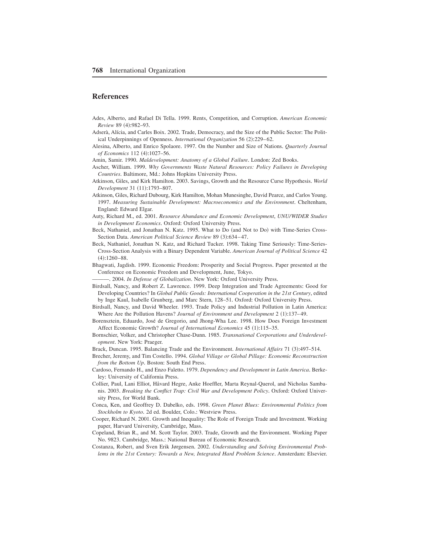## **References**

- Ades, Alberto, and Rafael Di Tella+ 1999+ Rents, Competition, and Corruption+ *American Economic Review* 89 (4):982-93.
- Adserà, Alícia, and Carles Boix. 2002. Trade, Democracy, and the Size of the Public Sector: The Political Underpinnings of Openness, *International Organization* 56 (2):229–62.
- Alesina, Alberto, and Enrico Spolaore. 1997. On the Number and Size of Nations. *Quarterly Journal of Economics* 112 (4):1027-56.
- Amin, Samir. 1990. *Maldevelopment: Anatomy of a Global Failure*. London: Zed Books.
- Ascher, William. 1999. Why Governments Waste Natural Resources: Policy Failures in Developing *Countries*. Baltimore, Md.: Johns Hopkins University Press.
- Atkinson, Giles, and Kirk Hamilton. 2003. Savings, Growth and the Resource Curse Hypothesis. *World Development* 31 (11):1793-807.
- Atkinson, Giles, Richard Dubourg, Kirk Hamilton, Mohan Munesinghe, David Pearce, and Carlos Young+ 1997. Measuring Sustainable Development: Macroeconomics and the Environment. Cheltenham, England: Edward Elgar,
- Auty, Richard M+, ed+ 2001+ *Resource Abundance and Economic Development*, *UNU/WIDER Studies in Development Economics*. Oxford: Oxford University Press.
- Beck, Nathaniel, and Jonathan N, Katz, 1995, What to Do (and Not to Do) with Time-Series Cross-Section Data. *American Political Science Review* 89 (3):634–47.
- Beck, Nathaniel, Jonathan N. Katz, and Richard Tucker, 1998. Taking Time Seriously: Time-Series-Cross-Section Analysis with a Binary Dependent Variable+ *American Journal of Political Science* 42  $(4):1260-88.$
- Bhagwati, Jagdish. 1999. Economic Freedom: Prosperity and Social Progress. Paper presented at the Conference on Economic Freedom and Development, June, Tokyo+

-. 2004. In Defense of Globalization. New York: Oxford University Press.

- Birdsall, Nancy, and Robert Z. Lawrence. 1999. Deep Integration and Trade Agreements: Good for Developing Countries? In *Global Public Goods: International Cooperation in the 21st Century*, edited by Inge Kaul, Isabelle Grunberg, and Marc Stern, 128–51. Oxford: Oxford University Press.
- Birdsall, Nancy, and David Wheeler. 1993. Trade Policy and Industrial Pollution in Latin America: Where Are the Pollution Havens? *Journal of Environment and Development* 2 (1):137–49.
- Borensztein, Eduardo, José de Gregorio, and Jhong-Wha Lee. 1998. How Does Foreign Investment Affect Economic Growth? *Journal of International Economics* 45 (1):115-35.
- Bornschier, Volker, and Christopher Chase-Dunn. 1985. *Transnational Corporations and Underdevelopment*. New York: Praeger.
- Brack, Duncan. 1995. Balancing Trade and the Environment. *International Affairs* 71 (3):497–514.
- Brecher, Jeremy, and Tim Costello+ 1994+ *Global Village or Global Pillage: Economic Reconstruction from the Bottom Up*. Boston: South End Press.
- Cardoso, Fernando H., and Enzo Faletto. 1979. *Dependency and Development in Latin America*. Berkeley: University of California Press.
- Collier, Paul, Lani Elliot, Håvard Hegre, Anke Hoeffler, Marta Reynal-Querol, and Nicholas Sambanis+ 2003+ *Breaking the Conflict Trap: Civil War and Development Policy*+ Oxford: Oxford University Press, for World Bank.
- Conca, Ken, and Geoffrey D+ Dabelko, eds+ 1998+ *Green Planet Blues: Environmental Politics from Stockholm to Kyoto*, 2d ed. Boulder, Colo.: Westview Press.
- Cooper, Richard N. 2001. Growth and Inequality: The Role of Foreign Trade and Investment. Working paper, Harvard University, Cambridge, Mass.
- Copeland, Brian R., and M. Scott Taylor. 2003. Trade, Growth and the Environment. Working Paper No. 9823. Cambridge, Mass.: National Bureau of Economic Research.
- Costanza, Robert, and Sven Erik Jørgensen. 2002. *Understanding and Solving Environmental Problems in the 21st Century: Towards a New, Integrated Hard Problem Science*. Amsterdam: Elsevier.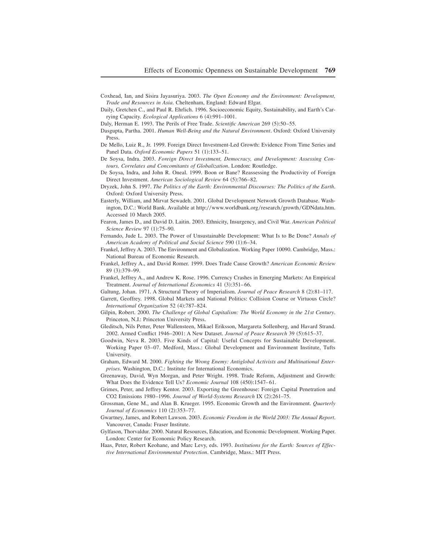- Coxhead, Ian, and Sisira Jayasuriya+ 2003+ *The Open Economy and the Environment: Development, Trade and Resources in Asia*, Cheltenham, England: Edward Elgar,
- Daily, Gretchen C., and Paul R. Ehrlich. 1996. Socioeconomic Equity, Sustainability, and Earth's Carrying Capacity. *Ecological Applications* 6  $(4):991-1001$ .

Daly, Herman E. 1993. The Perils of Free Trade. *Scientific American* 269 (5):50–55.

- Dasgupta, Partha+ 2001+ *Human Well-Being and the Natural Environment*+ Oxford: Oxford University Press.
- De Mello, Luiz R., Jr. 1999. Foreign Direct Investment-Led Growth: Evidence From Time Series and Panel Data. *Oxford Economic Papers* 51 (1):133-51.
- De Soysa, Indra. 2003. *Foreign Direct Investment, Democracy, and Development: Assessing Contours, Correlates and Concomitants of Globalization*. London: Routledge.
- De Soysa, Indra, and John R, Oneal, 1999, Boon or Bane? Reassessing the Productivity of Foreign Direct Investment. *American Sociological Review* 64 (5):766–82.
- Dryzek, John S. 1997. *The Politics of the Earth: Environmental Discourses: The Politics of the Earth.* Oxford: Oxford University Press.
- Easterly, William, and Mirvat Sewadeh. 2001. Global Development Network Growth Database. Washington, D.C.: World Bank. Available at http://www.worldbank.org/research/growth/GDNdata.htm. Accessed 10 March 2005.
- Fearon, James D., and David D. Laitin. 2003. Ethnicity, Insurgency, and Civil War. *American Political Science Review* 97 (1):75–90.
- Fernando, Jude L. 2003. The Power of Unsustainable Development: What Is to Be Done? *Annals of* American Academy of Political and Social Science 590 (1):6-34.
- Frankel, Jeffrey A. 2003. The Environment and Globalization. Working Paper 10090. Cambridge, Mass.: National Bureau of Economic Research.
- Frankel, Jeffrey A., and David Romer. 1999. Does Trade Cause Growth? *American Economic Review* 89 (3):379-99.
- Frankel, Jeffrey A., and Andrew K. Rose. 1996. Currency Crashes in Emerging Markets: An Empirical Treatment. *Journal of International Economics* 41 (3):351–66.
- Galtung, Johan. 1971. A Structural Theory of Imperialism. *Journal of Peace Research* 8 (2):81–117.
- Garrett, Geoffrey. 1998. Global Markets and National Politics: Collision Course or Virtuous Circle? *International Organization* 52 (4):787-824.
- Gilpin, Robert. 2000. *The Challenge of Global Capitalism: The World Economy in the 21st Century*. Princeton, N.J.: Princeton University Press.
- Gleditsch, Nils Petter, Peter Wallensteen, Mikael Eriksson, Margareta Sollenberg, and Havard Strand+ 2002. Armed Conflict 1946–2001: A New Dataset. *Journal of Peace Research* 39 (5):615–37.
- Goodwin, Neva R. 2003. Five Kinds of Capital: Useful Concepts for Sustainable Development. Working Paper 03-07. Medford, Mass.: Global Development and Environment Institute, Tufts University.
- Graham, Edward M. 2000. *Fighting the Wrong Enemy: Antiglobal Activists and Multinational Enterprises*. Washington, D.C.: Institute for International Economics.
- Greenaway, David, Wyn Morgan, and Peter Wright. 1998. Trade Reform, Adjustment and Growth: What Does the Evidence Tell Us? *Economic Journal* 108 (450):1547–61.
- Grimes, Peter, and Jeffrey Kentor. 2003. Exporting the Greenhouse: Foreign Capital Penetration and CO2 Emissions 1980–1996. Journal of World-Systems Research IX (2):261–75.
- Grossman, Gene M., and Alan B. Krueger. 1995. Economic Growth and the Environment. *Quarterly Journal of Economics* 110 (2):353-77.
- Gwartney, James, and Robert Lawson, 2003. *Economic Freedom in the World 2003: The Annual Report*. Vancouver, Canada: Fraser Institute+
- Gylfason, Thorvaldur. 2000. Natural Resources, Education, and Economic Development. Working Paper. London: Center for Economic Policy Research.
- Haas, Peter, Robert Keohane, and Marc Levy, eds. 1993. *Institutions for the Earth: Sources of Effective International Environmental Protection*, Cambridge, Mass.: MIT Press.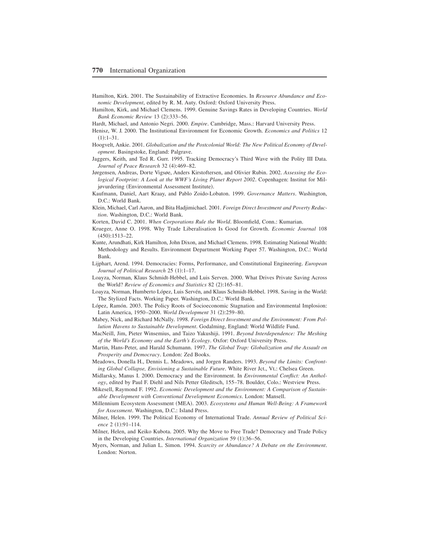- Hamilton, Kirk. 2001. The Sustainability of Extractive Economies. In *Resource Abundance and Economic Development*, edited by R, M, Auty, Oxford: Oxford University Press,
- Hamilton, Kirk, and Michael Clemens+ 1999+ Genuine Savings Rates in Developing Countries+ *World Bank Economic Review* 13 (2):333-56.

Hardt, Michael, and Antonio Negri. 2000. *Empire*. Cambridge, Mass.: Harvard University Press.

- Henisz, W. J. 2000. The Institutional Environment for Economic Growth. *Economics and Politics* 12  $(1):1-31.$
- Hoogvelt, Ankie. 2001. *Globalization and the Postcolonial World: The New Political Economy of Devel* $opment$ . Basingstoke, England: Palgrave.
- Jaggers, Keith, and Ted R. Gurr. 1995. Tracking Democracy's Third Wave with the Polity III Data. *Journal of Peace Research* 32 (4):469-82.
- Jørgensen, Andreas, Dorte Vigsøe, Anders Kirstoftersen, and Olivier Rubin+ 2002+ *Assessing the Ecological Footprint: A Look at the WWF's Living Planet Report 2002*. Copenhagen: Institut for Miljøvurdering (Environmental Assessment Institute).
- Kaufmann, Daniel, Aart Kraay, and Pablo Zoido-Lobaton. 1999. *Governance Matters*. Washington, D.C.: World Bank.
- Klein, Michael, Carl Aaron, and Bita Hadjimichael+ 2001+ *Foreign Direct Investment and Poverty Reduction*. Washington, D.C.: World Bank.
- Korten, David C. 2001. *When Corporations Rule the World*. Bloomfield, Conn.: Kumarian.
- Krueger, Anne O. 1998. Why Trade Liberalisation Is Good for Growth. *Economic Journal* 108  $(450):1513-22.$
- Kunte, Arundhati, Kirk Hamilton, John Dixon, and Michael Clemens. 1998. Estimating National Wealth: Methodology and Results. Environment Department Working Paper 57. Washington, D.C.: World Bank.
- Lijphart, Arend+ 1994+ Democracies: Forms, Performance, and Constitutional Engineering+ *European Journal of Political Research* 25 (1):1–17.
- Loayza, Norman, Klaus Schmidt-Hebbel, and Luis Serven. 2000. What Drives Private Saving Across the World? *Review of Economics and Statistics* 82 (2):165-81.
- Loayza, Norman, Humberto López, Luis Servén, and Klaus Schmidt-Hebbel, 1998. Saving in the World: The Stylized Facts. Working Paper. Washington, D.C.: World Bank.
- López, Ramón. 2003. The Policy Roots of Socioeconomic Stagnation and Environmental Implosion: Latin America, 1950–2000. *World Development* 31 (2):259–80.
- Mabey, Nick, and Richard McNally. 1998. *Foreign Direct Investment and the Environment: From Pollution Havens to Sustainable Development*. Godalming, England: World Wildlife Fund.
- MacNeill, Jim, Pieter Winsemius, and Taizo Yakushiji+ 1991+ *Beyond Interdependence: The Meshing of the World's Economy and the Earth's Ecology*. Oxfor: Oxford University Press.
- Martin, Hans-Peter, and Harald Schumann. 1997. *The Global Trap: Globalization and the Assault on* Prosperity and Democracy. London: Zed Books.
- Meadows, Donella H., Dennis L. Meadows, and Jorgen Randers. 1993. *Beyond the Limits: Confronting Global Collapse, Envisioning a Sustainable Future*. White River Jct., Vt.: Chelsea Green.
- Midlarsky, Manus I. 2000. Democracy and the Environment. In *Environmental Conflict: An Anthol* $ogy$ , edited by Paul F. Diehl and Nils Petter Gleditsch, 155–78. Boulder, Colo.: Westview Press.
- Mikesell, Raymond F. 1992. *Economic Development and the Environment: A Comparison of Sustainable Development with Conventional Development Economics*. London: Mansell.
- Millennium Ecosystem Assessment (MEA). 2003. *Ecosystems and Human Well-Being: A Framework for Assessment*. Washington, D.C.: Island Press.
- Milner, Helen, 1999. The Political Economy of International Trade. *Annual Review of Political Science*  $2(1):91-114$ .
- Milner, Helen, and Keiko Kubota. 2005. Why the Move to Free Trade? Democracy and Trade Policy in the Developing Countries. *International Organization* 59 (1):36–56.
- Myers, Norman, and Julian L. Simon. 1994. *Scarcity or Abundance? A Debate on the Environment*. London: Norton.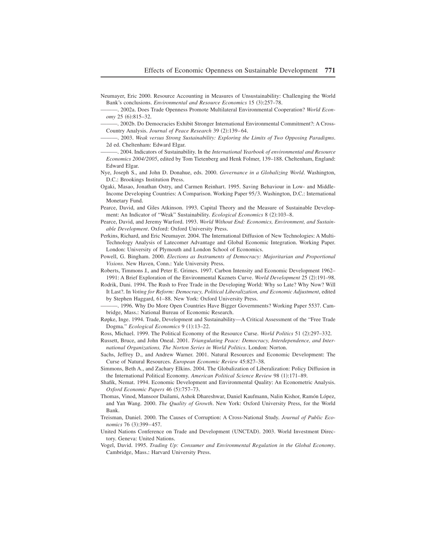- Neumayer, Eric 2000. Resource Accounting in Measures of Unsustainability: Challenging the World Bank's conclusions. *Environmental and Resource Economics* 15 (3):257–78.
- -, 2002a. Does Trade Openness Promote Multilateral Environmental Cooperation? *World Economy* 25 (6):815-32.
- —, 2002b. Do Democracies Exhibit Stronger International Environmental Commitment?: A Cross-Country Analysis. *Journal of Peace Research* 39 (2):139–64.
- ———+ 2003+ *Weak versus Strong Sustainability: Exploring the Limits of Two Opposing Paradigms*+ 2d ed. Cheltenham: Edward Elgar.
- ——, 2004. Indicators of Sustainability. In the *International Yearbook of environmental and Resource Economics 2004/2005*, edited by Tom Tietenberg and Henk Folmer, 139–188. Cheltenham, England: Edward Elgar.
- Nye, Joseph S., and John D. Donahue, eds. 2000. *Governance in a Globalizing World*. Washington, D.C.: Brookings Institution Press.
- Ogaki, Masao, Jonathan Ostry, and Carmen Reinhart. 1995. Saving Behaviour in Low- and Middle-Income Developing Countries: A Comparison. Working Paper 95/3. Washington, D.C.: International Monetary Fund.
- Pearce, David, and Giles Atkinson. 1993. Capital Theory and the Measure of Sustainable Development: An Indicator of "Weak" Sustainability. *Ecological Economics* 8 (2):103–8.
- Pearce, David, and Jeremy Warford. 1993. World Without End: Economics, Environment, and Sustain*able Development*. Oxford: Oxford University Press.
- Perkins, Richard, and Eric Neumayer. 2004. The International Diffusion of New Technologies: A Multi-Technology Analysis of Latecomer Advantage and Global Economic Integration. Working Paper. London: University of Plymouth and London School of Economics.
- Powell, G. Bingham. 2000. *Elections as Instruments of Democracy: Majoritarian and Proportional* Visions. New Haven, Conn.: Yale University Press.
- Roberts, Timmons J., and Peter E. Grimes. 1997. Carbon Intensity and Economic Development 1962– 1991: A Brief Exploration of the Environmental Kuznets Curve. *World Development* 25 (2):191–98.
- Rodrik, Dani. 1994. The Rush to Free Trade in the Developing World: Why so Late? Why Now? Will It Last?+ In *Voting for Reform: Democracy, Political Liberalization, and Economic Adjustment*, edited by Stephen Haggard, 61–88. New York: Oxford University Press.
- —, 1996. Why Do More Open Countries Have Bigger Governments? Working Paper 5537. Cambridge, Mass.: National Bureau of Economic Research.
- Røpke, Inge. 1994. Trade, Development and Sustainability—A Critical Assessment of the "Free Trade" Dogma." *Ecological Economics* 9 (1):13–22.
- Ross, Michael, 1999. The Political Economy of the Resource Curse. *World Politics* 51 (2):297–332.
- Russett, Bruce, and John Oneal+ 2001+ *Triangulating Peace: Democracy, Interdependence, and International Organizations, The Norton Series in World Politics*. London: Norton.
- Sachs, Jeffrey D., and Andrew Warner. 2001. Natural Resources and Economic Development: The Curse of Natural Resources. *European Economic Review* 45:827-38.
- Simmons, Beth A., and Zachary Elkins. 2004. The Globalization of Liberalization: Policy Diffusion in the International Political Economy. *American Political Science Review* 98 (1):171–89.
- Shafik, Nemat. 1994. Economic Development and Environmental Quality: An Econometric Analysis. *Oxford Economic Papers* 46 (5):757-73.
- Thomas, Vinod, Mansoor Dailami, Ashok Dhareshwar, Daniel Kaufmann, Nalin Kishor, Ramón López, and Yan Wang, 2000. *The Quality of Growth*. New York: Oxford University Press, for the World Bank.
- Treisman, Daniel+ 2000+ The Causes of Corruption: A Cross-National Study+ *Journal of Public Economics* 76 (3):399–457.
- United Nations Conference on Trade and Development (UNCTAD). 2003. World Investment Directory. Geneva: United Nations.
- Vogel, David+ 1995+ *Trading Up: Consumer and Environmental Regulation in the Global Economy*+ Cambridge, Mass.: Harvard University Press.